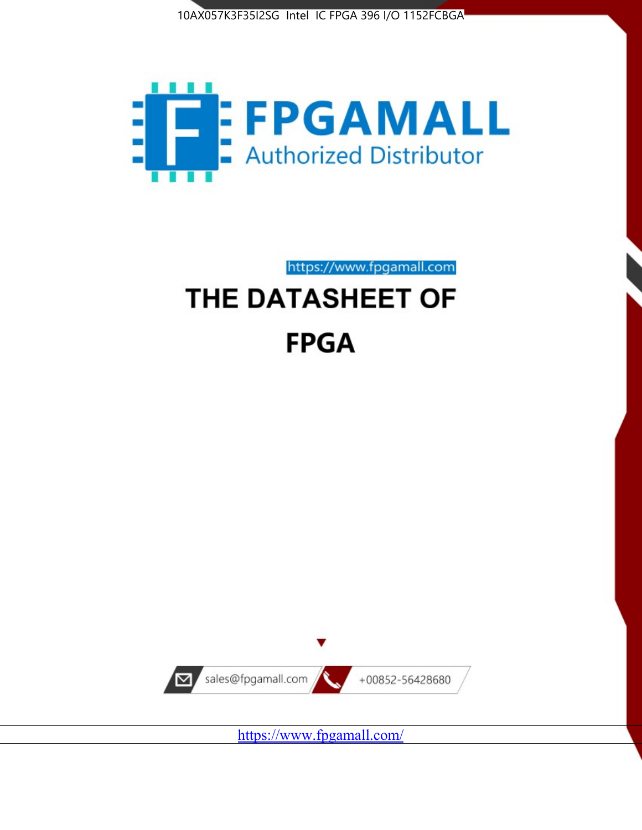



https://www.fpgamall.com

# THE DATASHEET OF **FPGA**



<https://www.fpgamall.com/>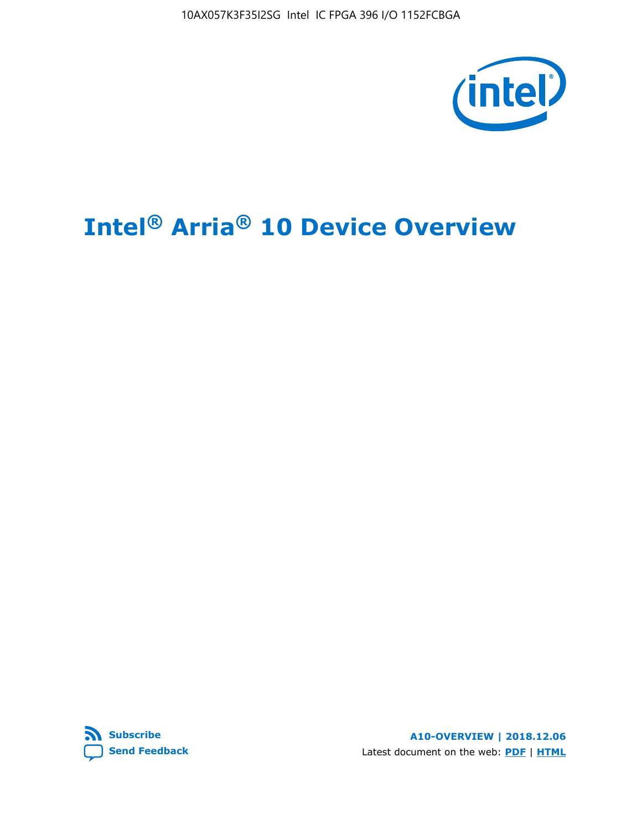10AX057K3F35I2SG Intel IC FPGA 396 I/O 1152FCBGA



# **Intel® Arria® 10 Device Overview**



**A10-OVERVIEW | 2018.12.06** Latest document on the web: **[PDF](https://www.intel.com/content/dam/www/programmable/us/en/pdfs/literature/hb/arria-10/a10_overview.pdf)** | **[HTML](https://www.intel.com/content/www/us/en/programmable/documentation/sam1403480274650.html)**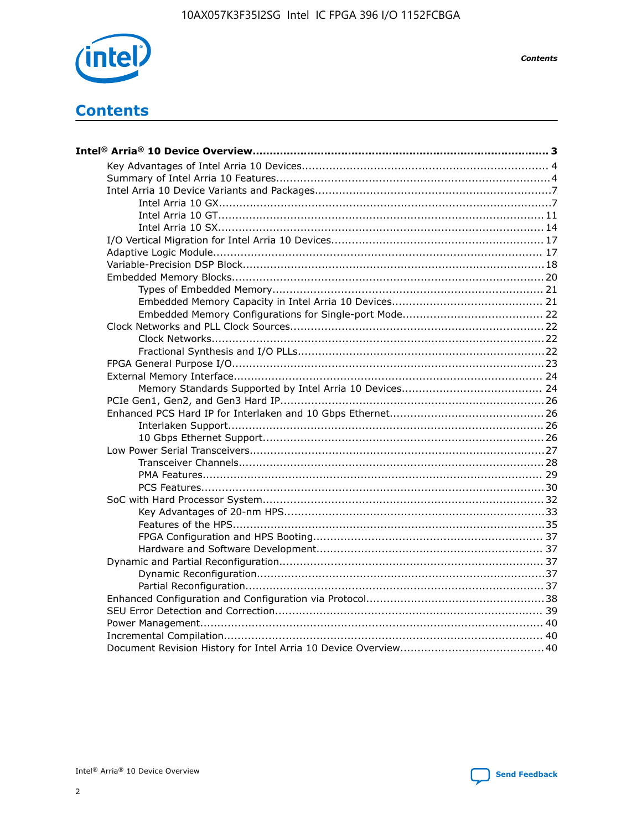

**Contents** 

# **Contents**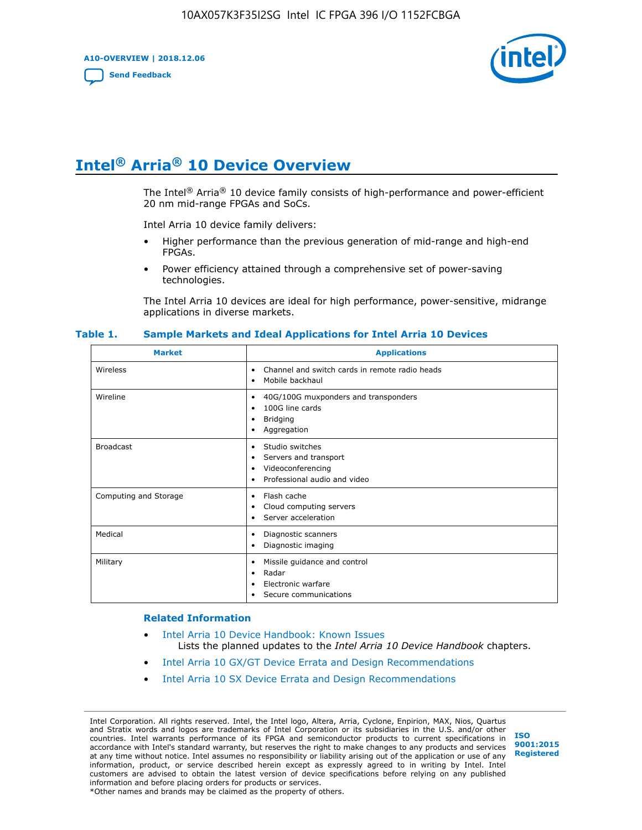**A10-OVERVIEW | 2018.12.06**

**[Send Feedback](mailto:FPGAtechdocfeedback@intel.com?subject=Feedback%20on%20Intel%20Arria%2010%20Device%20Overview%20(A10-OVERVIEW%202018.12.06)&body=We%20appreciate%20your%20feedback.%20In%20your%20comments,%20also%20specify%20the%20page%20number%20or%20paragraph.%20Thank%20you.)**



# **Intel® Arria® 10 Device Overview**

The Intel<sup>®</sup> Arria<sup>®</sup> 10 device family consists of high-performance and power-efficient 20 nm mid-range FPGAs and SoCs.

Intel Arria 10 device family delivers:

- Higher performance than the previous generation of mid-range and high-end FPGAs.
- Power efficiency attained through a comprehensive set of power-saving technologies.

The Intel Arria 10 devices are ideal for high performance, power-sensitive, midrange applications in diverse markets.

| <b>Market</b>         | <b>Applications</b>                                                                                               |
|-----------------------|-------------------------------------------------------------------------------------------------------------------|
| Wireless              | Channel and switch cards in remote radio heads<br>٠<br>Mobile backhaul<br>٠                                       |
| Wireline              | 40G/100G muxponders and transponders<br>٠<br>100G line cards<br>٠<br><b>Bridging</b><br>٠<br>Aggregation<br>٠     |
| <b>Broadcast</b>      | Studio switches<br>٠<br>Servers and transport<br>٠<br>Videoconferencing<br>٠<br>Professional audio and video<br>٠ |
| Computing and Storage | Flash cache<br>٠<br>Cloud computing servers<br>٠<br>Server acceleration<br>٠                                      |
| Medical               | Diagnostic scanners<br>٠<br>Diagnostic imaging<br>٠                                                               |
| Military              | Missile guidance and control<br>٠<br>Radar<br>٠<br>Electronic warfare<br>٠<br>Secure communications<br>٠          |

#### **Table 1. Sample Markets and Ideal Applications for Intel Arria 10 Devices**

#### **Related Information**

- [Intel Arria 10 Device Handbook: Known Issues](http://www.altera.com/support/kdb/solutions/rd07302013_646.html) Lists the planned updates to the *Intel Arria 10 Device Handbook* chapters.
- [Intel Arria 10 GX/GT Device Errata and Design Recommendations](https://www.intel.com/content/www/us/en/programmable/documentation/agz1493851706374.html#yqz1494433888646)
- [Intel Arria 10 SX Device Errata and Design Recommendations](https://www.intel.com/content/www/us/en/programmable/documentation/cru1462832385668.html#cru1462832558642)

Intel Corporation. All rights reserved. Intel, the Intel logo, Altera, Arria, Cyclone, Enpirion, MAX, Nios, Quartus and Stratix words and logos are trademarks of Intel Corporation or its subsidiaries in the U.S. and/or other countries. Intel warrants performance of its FPGA and semiconductor products to current specifications in accordance with Intel's standard warranty, but reserves the right to make changes to any products and services at any time without notice. Intel assumes no responsibility or liability arising out of the application or use of any information, product, or service described herein except as expressly agreed to in writing by Intel. Intel customers are advised to obtain the latest version of device specifications before relying on any published information and before placing orders for products or services. \*Other names and brands may be claimed as the property of others.

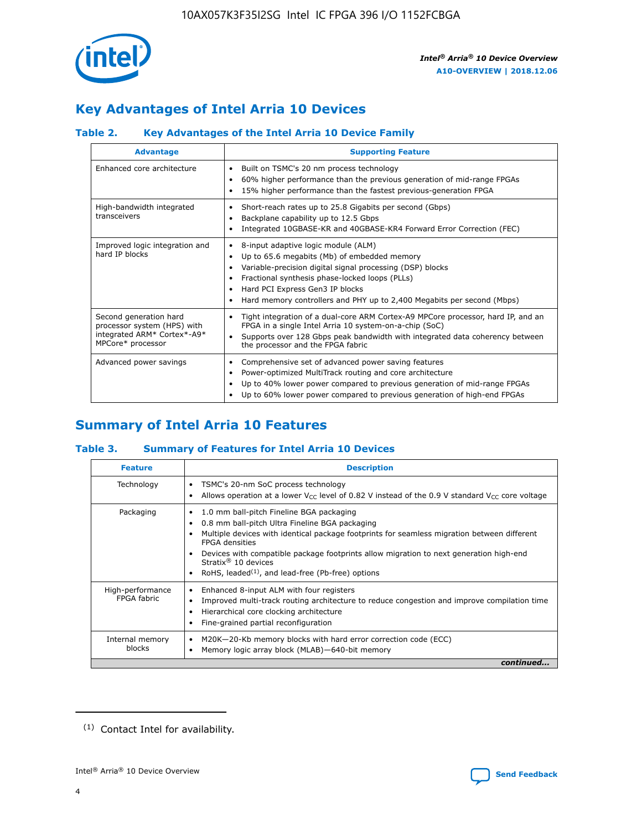

# **Key Advantages of Intel Arria 10 Devices**

# **Table 2. Key Advantages of the Intel Arria 10 Device Family**

| <b>Advantage</b>                                                                                          | <b>Supporting Feature</b>                                                                                                                                                                                                                                                                                                |
|-----------------------------------------------------------------------------------------------------------|--------------------------------------------------------------------------------------------------------------------------------------------------------------------------------------------------------------------------------------------------------------------------------------------------------------------------|
| Enhanced core architecture                                                                                | Built on TSMC's 20 nm process technology<br>٠<br>60% higher performance than the previous generation of mid-range FPGAs<br>٠<br>15% higher performance than the fastest previous-generation FPGA<br>٠                                                                                                                    |
| High-bandwidth integrated<br>transceivers                                                                 | Short-reach rates up to 25.8 Gigabits per second (Gbps)<br>٠<br>Backplane capability up to 12.5 Gbps<br>٠<br>Integrated 10GBASE-KR and 40GBASE-KR4 Forward Error Correction (FEC)<br>٠                                                                                                                                   |
| Improved logic integration and<br>hard IP blocks                                                          | 8-input adaptive logic module (ALM)<br>٠<br>Up to 65.6 megabits (Mb) of embedded memory<br>٠<br>Variable-precision digital signal processing (DSP) blocks<br>Fractional synthesis phase-locked loops (PLLs)<br>Hard PCI Express Gen3 IP blocks<br>Hard memory controllers and PHY up to 2,400 Megabits per second (Mbps) |
| Second generation hard<br>processor system (HPS) with<br>integrated ARM* Cortex*-A9*<br>MPCore* processor | Tight integration of a dual-core ARM Cortex-A9 MPCore processor, hard IP, and an<br>٠<br>FPGA in a single Intel Arria 10 system-on-a-chip (SoC)<br>Supports over 128 Gbps peak bandwidth with integrated data coherency between<br>$\bullet$<br>the processor and the FPGA fabric                                        |
| Advanced power savings                                                                                    | Comprehensive set of advanced power saving features<br>٠<br>Power-optimized MultiTrack routing and core architecture<br>٠<br>Up to 40% lower power compared to previous generation of mid-range FPGAs<br>٠<br>Up to 60% lower power compared to previous generation of high-end FPGAs                                    |

# **Summary of Intel Arria 10 Features**

## **Table 3. Summary of Features for Intel Arria 10 Devices**

| <b>Feature</b>                  | <b>Description</b>                                                                                                                                                                                                                                                                                                                                                                                           |
|---------------------------------|--------------------------------------------------------------------------------------------------------------------------------------------------------------------------------------------------------------------------------------------------------------------------------------------------------------------------------------------------------------------------------------------------------------|
| Technology                      | TSMC's 20-nm SoC process technology<br>Allows operation at a lower $V_{\text{CC}}$ level of 0.82 V instead of the 0.9 V standard $V_{\text{CC}}$ core voltage                                                                                                                                                                                                                                                |
| Packaging                       | 1.0 mm ball-pitch Fineline BGA packaging<br>٠<br>0.8 mm ball-pitch Ultra Fineline BGA packaging<br>Multiple devices with identical package footprints for seamless migration between different<br><b>FPGA</b> densities<br>Devices with compatible package footprints allow migration to next generation high-end<br>Stratix <sup>®</sup> 10 devices<br>RoHS, leaded $(1)$ , and lead-free (Pb-free) options |
| High-performance<br>FPGA fabric | Enhanced 8-input ALM with four registers<br>Improved multi-track routing architecture to reduce congestion and improve compilation time<br>Hierarchical core clocking architecture<br>Fine-grained partial reconfiguration                                                                                                                                                                                   |
| Internal memory<br>blocks       | M20K-20-Kb memory blocks with hard error correction code (ECC)<br>Memory logic array block (MLAB)-640-bit memory                                                                                                                                                                                                                                                                                             |
|                                 | continued                                                                                                                                                                                                                                                                                                                                                                                                    |



<sup>(1)</sup> Contact Intel for availability.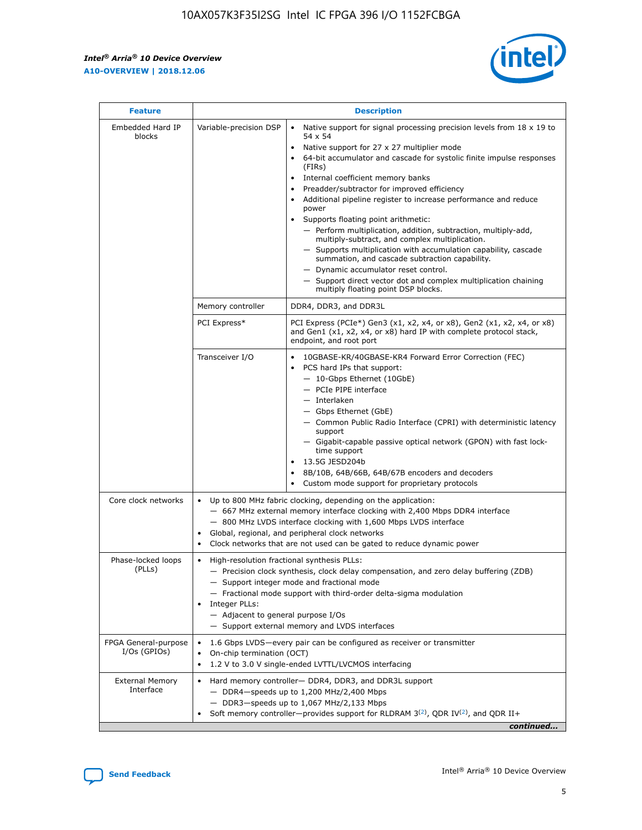r



| <b>Feature</b>                         |                                                                                                                                                                                                                                                                                                                      | <b>Description</b>                                                                                                                                                                                                                                                                                                                                                                                                                                                                                                                                                                                                                                                                                                                                                                                                                     |  |  |  |  |
|----------------------------------------|----------------------------------------------------------------------------------------------------------------------------------------------------------------------------------------------------------------------------------------------------------------------------------------------------------------------|----------------------------------------------------------------------------------------------------------------------------------------------------------------------------------------------------------------------------------------------------------------------------------------------------------------------------------------------------------------------------------------------------------------------------------------------------------------------------------------------------------------------------------------------------------------------------------------------------------------------------------------------------------------------------------------------------------------------------------------------------------------------------------------------------------------------------------------|--|--|--|--|
| Embedded Hard IP<br>blocks             | Variable-precision DSP                                                                                                                                                                                                                                                                                               | Native support for signal processing precision levels from $18 \times 19$ to<br>54 x 54<br>Native support for 27 x 27 multiplier mode<br>64-bit accumulator and cascade for systolic finite impulse responses<br>(FIRs)<br>Internal coefficient memory banks<br>$\bullet$<br>Preadder/subtractor for improved efficiency<br>Additional pipeline register to increase performance and reduce<br>power<br>Supports floating point arithmetic:<br>- Perform multiplication, addition, subtraction, multiply-add,<br>multiply-subtract, and complex multiplication.<br>- Supports multiplication with accumulation capability, cascade<br>summation, and cascade subtraction capability.<br>- Dynamic accumulator reset control.<br>- Support direct vector dot and complex multiplication chaining<br>multiply floating point DSP blocks. |  |  |  |  |
|                                        | Memory controller                                                                                                                                                                                                                                                                                                    | DDR4, DDR3, and DDR3L                                                                                                                                                                                                                                                                                                                                                                                                                                                                                                                                                                                                                                                                                                                                                                                                                  |  |  |  |  |
|                                        | PCI Express*                                                                                                                                                                                                                                                                                                         | PCI Express (PCIe*) Gen3 (x1, x2, x4, or x8), Gen2 (x1, x2, x4, or x8)<br>and Gen1 (x1, x2, x4, or x8) hard IP with complete protocol stack,<br>endpoint, and root port                                                                                                                                                                                                                                                                                                                                                                                                                                                                                                                                                                                                                                                                |  |  |  |  |
|                                        | Transceiver I/O                                                                                                                                                                                                                                                                                                      | 10GBASE-KR/40GBASE-KR4 Forward Error Correction (FEC)<br>PCS hard IPs that support:<br>$\bullet$<br>- 10-Gbps Ethernet (10GbE)<br>- PCIe PIPE interface<br>$-$ Interlaken<br>- Gbps Ethernet (GbE)<br>- Common Public Radio Interface (CPRI) with deterministic latency<br>support<br>- Gigabit-capable passive optical network (GPON) with fast lock-<br>time support<br>13.5G JESD204b<br>$\bullet$<br>8B/10B, 64B/66B, 64B/67B encoders and decoders<br>Custom mode support for proprietary protocols                                                                                                                                                                                                                                                                                                                               |  |  |  |  |
| Core clock networks                    | $\bullet$<br>$\bullet$                                                                                                                                                                                                                                                                                               | Up to 800 MHz fabric clocking, depending on the application:<br>- 667 MHz external memory interface clocking with 2,400 Mbps DDR4 interface<br>- 800 MHz LVDS interface clocking with 1,600 Mbps LVDS interface<br>Global, regional, and peripheral clock networks<br>Clock networks that are not used can be gated to reduce dynamic power                                                                                                                                                                                                                                                                                                                                                                                                                                                                                            |  |  |  |  |
| Phase-locked loops<br>(PLLs)           | High-resolution fractional synthesis PLLs:<br>$\bullet$<br>Integer PLLs:<br>- Adjacent to general purpose I/Os                                                                                                                                                                                                       | - Precision clock synthesis, clock delay compensation, and zero delay buffering (ZDB)<br>- Support integer mode and fractional mode<br>- Fractional mode support with third-order delta-sigma modulation<br>- Support external memory and LVDS interfaces                                                                                                                                                                                                                                                                                                                                                                                                                                                                                                                                                                              |  |  |  |  |
| FPGA General-purpose<br>$I/Os$ (GPIOs) | On-chip termination (OCT)                                                                                                                                                                                                                                                                                            | 1.6 Gbps LVDS-every pair can be configured as receiver or transmitter                                                                                                                                                                                                                                                                                                                                                                                                                                                                                                                                                                                                                                                                                                                                                                  |  |  |  |  |
| <b>External Memory</b><br>Interface    | 1.2 V to 3.0 V single-ended LVTTL/LVCMOS interfacing<br>Hard memory controller- DDR4, DDR3, and DDR3L support<br>$-$ DDR4-speeds up to 1,200 MHz/2,400 Mbps<br>- DDR3-speeds up to 1,067 MHz/2,133 Mbps<br>Soft memory controller—provides support for RLDRAM $3^{(2)}$ , QDR IV $^{(2)}$ , and QDR II+<br>continued |                                                                                                                                                                                                                                                                                                                                                                                                                                                                                                                                                                                                                                                                                                                                                                                                                                        |  |  |  |  |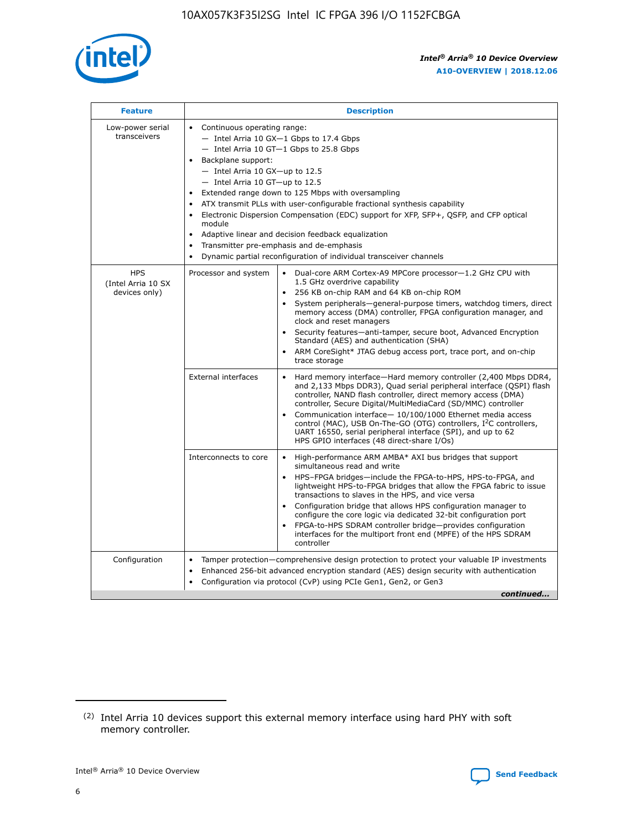

| <b>Feature</b>                                    | <b>Description</b>                                                                                                                                                                                                                                                                                                                                                                                                                                                                                                                                                                                                                                    |
|---------------------------------------------------|-------------------------------------------------------------------------------------------------------------------------------------------------------------------------------------------------------------------------------------------------------------------------------------------------------------------------------------------------------------------------------------------------------------------------------------------------------------------------------------------------------------------------------------------------------------------------------------------------------------------------------------------------------|
| Low-power serial<br>transceivers                  | • Continuous operating range:<br>- Intel Arria 10 GX-1 Gbps to 17.4 Gbps<br>- Intel Arria 10 GT-1 Gbps to 25.8 Gbps<br>Backplane support:<br>$-$ Intel Arria 10 GX-up to 12.5<br>- Intel Arria 10 GT-up to 12.5<br>Extended range down to 125 Mbps with oversampling<br>ATX transmit PLLs with user-configurable fractional synthesis capability<br>Electronic Dispersion Compensation (EDC) support for XFP, SFP+, QSFP, and CFP optical<br>module<br>Adaptive linear and decision feedback equalization<br>$\bullet$<br>Transmitter pre-emphasis and de-emphasis<br>$\bullet$<br>Dynamic partial reconfiguration of individual transceiver channels |
| <b>HPS</b><br>(Intel Arria 10 SX<br>devices only) | • Dual-core ARM Cortex-A9 MPCore processor-1.2 GHz CPU with<br>Processor and system<br>1.5 GHz overdrive capability<br>256 KB on-chip RAM and 64 KB on-chip ROM<br>$\bullet$<br>System peripherals—general-purpose timers, watchdog timers, direct<br>memory access (DMA) controller, FPGA configuration manager, and<br>clock and reset managers<br>Security features—anti-tamper, secure boot, Advanced Encryption<br>$\bullet$<br>Standard (AES) and authentication (SHA)<br>ARM CoreSight* JTAG debug access port, trace port, and on-chip<br>$\bullet$<br>trace storage                                                                          |
|                                                   | <b>External interfaces</b><br>Hard memory interface-Hard memory controller (2,400 Mbps DDR4,<br>$\bullet$<br>and 2,133 Mbps DDR3), Quad serial peripheral interface (QSPI) flash<br>controller, NAND flash controller, direct memory access (DMA)<br>controller, Secure Digital/MultiMediaCard (SD/MMC) controller<br>Communication interface-10/100/1000 Ethernet media access<br>$\bullet$<br>control (MAC), USB On-The-GO (OTG) controllers, I <sup>2</sup> C controllers,<br>UART 16550, serial peripheral interface (SPI), and up to 62<br>HPS GPIO interfaces (48 direct-share I/Os)                                                            |
|                                                   | High-performance ARM AMBA* AXI bus bridges that support<br>Interconnects to core<br>$\bullet$<br>simultaneous read and write<br>HPS-FPGA bridges-include the FPGA-to-HPS, HPS-to-FPGA, and<br>$\bullet$<br>lightweight HPS-to-FPGA bridges that allow the FPGA fabric to issue<br>transactions to slaves in the HPS, and vice versa<br>Configuration bridge that allows HPS configuration manager to<br>configure the core logic via dedicated 32-bit configuration port<br>FPGA-to-HPS SDRAM controller bridge-provides configuration<br>interfaces for the multiport front end (MPFE) of the HPS SDRAM<br>controller                                |
| Configuration                                     | Tamper protection—comprehensive design protection to protect your valuable IP investments<br>Enhanced 256-bit advanced encryption standard (AES) design security with authentication<br>٠<br>Configuration via protocol (CvP) using PCIe Gen1, Gen2, or Gen3<br>continued                                                                                                                                                                                                                                                                                                                                                                             |

<sup>(2)</sup> Intel Arria 10 devices support this external memory interface using hard PHY with soft memory controller.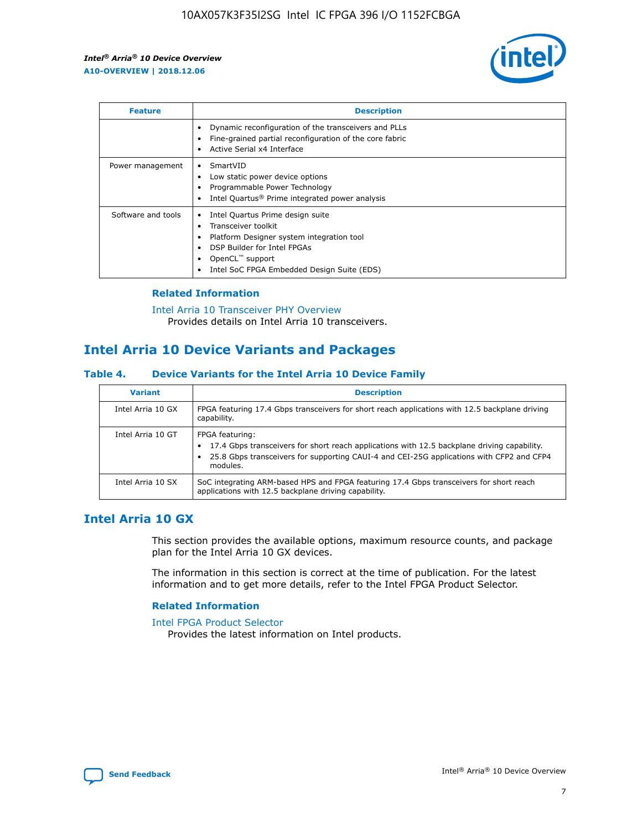

| <b>Feature</b>     | <b>Description</b>                                                                                                                                                                                               |
|--------------------|------------------------------------------------------------------------------------------------------------------------------------------------------------------------------------------------------------------|
|                    | Dynamic reconfiguration of the transceivers and PLLs<br>Fine-grained partial reconfiguration of the core fabric<br>Active Serial x4 Interface<br>$\bullet$                                                       |
| Power management   | SmartVID<br>Low static power device options<br>Programmable Power Technology<br>Intel Quartus <sup>®</sup> Prime integrated power analysis                                                                       |
| Software and tools | Intel Quartus Prime design suite<br>Transceiver toolkit<br>Platform Designer system integration tool<br>DSP Builder for Intel FPGAs<br>OpenCL <sup>™</sup> support<br>Intel SoC FPGA Embedded Design Suite (EDS) |

## **Related Information**

[Intel Arria 10 Transceiver PHY Overview](https://www.intel.com/content/www/us/en/programmable/documentation/nik1398707230472.html#nik1398706768037) Provides details on Intel Arria 10 transceivers.

# **Intel Arria 10 Device Variants and Packages**

#### **Table 4. Device Variants for the Intel Arria 10 Device Family**

| <b>Variant</b>    | <b>Description</b>                                                                                                                                                                                                     |
|-------------------|------------------------------------------------------------------------------------------------------------------------------------------------------------------------------------------------------------------------|
| Intel Arria 10 GX | FPGA featuring 17.4 Gbps transceivers for short reach applications with 12.5 backplane driving<br>capability.                                                                                                          |
| Intel Arria 10 GT | FPGA featuring:<br>17.4 Gbps transceivers for short reach applications with 12.5 backplane driving capability.<br>25.8 Gbps transceivers for supporting CAUI-4 and CEI-25G applications with CFP2 and CFP4<br>modules. |
| Intel Arria 10 SX | SoC integrating ARM-based HPS and FPGA featuring 17.4 Gbps transceivers for short reach<br>applications with 12.5 backplane driving capability.                                                                        |

# **Intel Arria 10 GX**

This section provides the available options, maximum resource counts, and package plan for the Intel Arria 10 GX devices.

The information in this section is correct at the time of publication. For the latest information and to get more details, refer to the Intel FPGA Product Selector.

#### **Related Information**

#### [Intel FPGA Product Selector](http://www.altera.com/products/selector/psg-selector.html) Provides the latest information on Intel products.

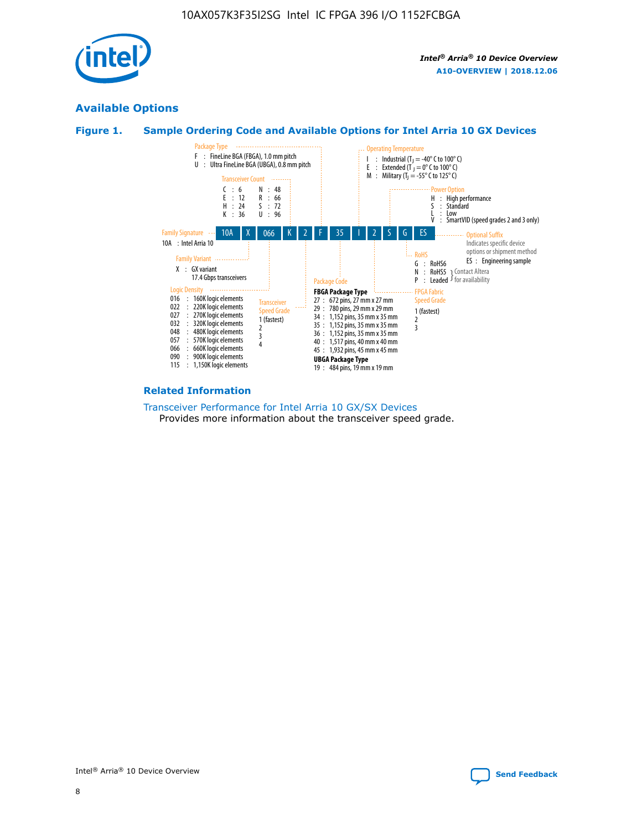

# **Available Options**





#### **Related Information**

[Transceiver Performance for Intel Arria 10 GX/SX Devices](https://www.intel.com/content/www/us/en/programmable/documentation/mcn1413182292568.html#mcn1413213965502) Provides more information about the transceiver speed grade.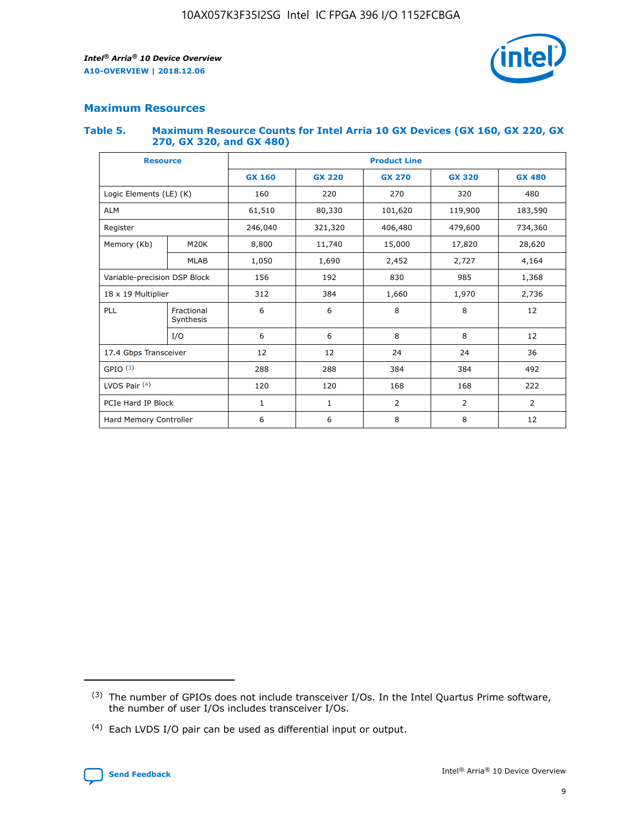

## **Maximum Resources**

#### **Table 5. Maximum Resource Counts for Intel Arria 10 GX Devices (GX 160, GX 220, GX 270, GX 320, and GX 480)**

| <b>Resource</b>              |                         | <b>Product Line</b> |                                                 |                |                |                |  |  |  |
|------------------------------|-------------------------|---------------------|-------------------------------------------------|----------------|----------------|----------------|--|--|--|
|                              |                         | <b>GX 160</b>       | <b>GX 220</b><br><b>GX 270</b><br><b>GX 320</b> |                |                | <b>GX 480</b>  |  |  |  |
| Logic Elements (LE) (K)      |                         | 160                 | 220                                             | 270            | 320            | 480            |  |  |  |
| <b>ALM</b>                   |                         | 61,510              | 80,330                                          | 101,620        | 119,900        | 183,590        |  |  |  |
| Register                     |                         | 246,040             | 406,480<br>479,600<br>321,320                   |                |                | 734,360        |  |  |  |
| Memory (Kb)                  | M <sub>20</sub> K       | 8,800               | 11,740                                          | 15,000         | 17,820         | 28,620         |  |  |  |
|                              | <b>MLAB</b>             | 1,050               | 1,690                                           | 2,452          | 2,727          | 4,164          |  |  |  |
| Variable-precision DSP Block |                         | 156                 | 192                                             | 830            | 985            | 1,368          |  |  |  |
| 18 x 19 Multiplier           |                         | 312                 | 384                                             | 1,970<br>1,660 |                | 2,736          |  |  |  |
| PLL                          | Fractional<br>Synthesis | 6                   | 6                                               | 8              | 8              | 12             |  |  |  |
|                              | I/O                     | 6                   | 6                                               | 8              | 8              | 12             |  |  |  |
| 17.4 Gbps Transceiver        |                         | 12                  | 12                                              | 24             | 24             | 36             |  |  |  |
| GPIO <sup>(3)</sup>          |                         | 288                 | 288                                             | 384            | 384            |                |  |  |  |
| LVDS Pair $(4)$              |                         | 120                 | 120                                             | 168            | 168            | 222            |  |  |  |
| PCIe Hard IP Block           |                         | 1                   | 1                                               | 2              | $\overline{2}$ | $\overline{2}$ |  |  |  |
| Hard Memory Controller       |                         | 6                   | 6                                               | 8              | 8              | 12             |  |  |  |

<sup>(4)</sup> Each LVDS I/O pair can be used as differential input or output.



<sup>(3)</sup> The number of GPIOs does not include transceiver I/Os. In the Intel Quartus Prime software, the number of user I/Os includes transceiver I/Os.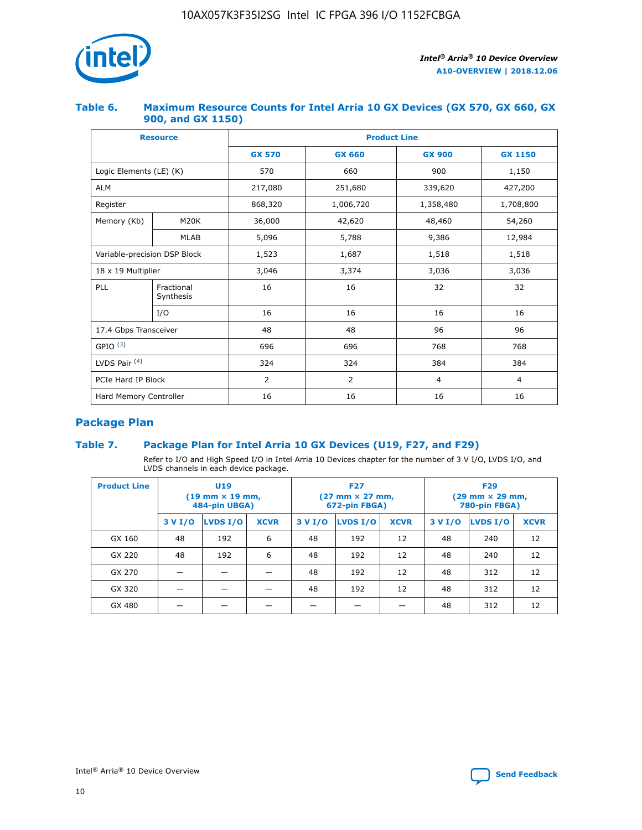

## **Table 6. Maximum Resource Counts for Intel Arria 10 GX Devices (GX 570, GX 660, GX 900, and GX 1150)**

|                              | <b>Resource</b>         |               | <b>Product Line</b> |                |                |  |  |  |  |  |
|------------------------------|-------------------------|---------------|---------------------|----------------|----------------|--|--|--|--|--|
|                              |                         | <b>GX 570</b> | <b>GX 660</b>       | <b>GX 900</b>  | <b>GX 1150</b> |  |  |  |  |  |
| Logic Elements (LE) (K)      |                         | 570           | 660                 | 900            | 1,150          |  |  |  |  |  |
| <b>ALM</b>                   |                         | 217,080       | 251,680             | 339,620        | 427,200        |  |  |  |  |  |
| Register                     |                         | 868,320       | 1,006,720           |                | 1,708,800      |  |  |  |  |  |
| Memory (Kb)                  | <b>M20K</b>             | 36,000        | 42,620              | 48,460         | 54,260         |  |  |  |  |  |
|                              | <b>MLAB</b>             | 5,096         | 5,788               | 9,386          | 12,984         |  |  |  |  |  |
| Variable-precision DSP Block |                         | 1,523         | 1,687               | 1,518          | 1,518          |  |  |  |  |  |
| $18 \times 19$ Multiplier    |                         | 3,046         | 3,374               | 3,036          | 3,036          |  |  |  |  |  |
| PLL                          | Fractional<br>Synthesis | 16            | 16                  | 32             | 32             |  |  |  |  |  |
|                              | I/O                     | 16            | 16                  | 16             | 16             |  |  |  |  |  |
| 17.4 Gbps Transceiver        |                         | 48            | 48                  | 96             |                |  |  |  |  |  |
| GPIO <sup>(3)</sup>          |                         | 696           | 696                 | 768            | 768            |  |  |  |  |  |
| LVDS Pair $(4)$              |                         | 324           | 324<br>384          |                | 384            |  |  |  |  |  |
| PCIe Hard IP Block           |                         | 2             | 2                   | $\overline{4}$ | $\overline{4}$ |  |  |  |  |  |
| Hard Memory Controller       |                         | 16            | 16                  | 16             | 16             |  |  |  |  |  |

# **Package Plan**

# **Table 7. Package Plan for Intel Arria 10 GX Devices (U19, F27, and F29)**

Refer to I/O and High Speed I/O in Intel Arria 10 Devices chapter for the number of 3 V I/O, LVDS I/O, and LVDS channels in each device package.

| <b>Product Line</b> | U <sub>19</sub><br>$(19 \text{ mm} \times 19 \text{ mm})$<br>484-pin UBGA) |          |             |         | <b>F27</b><br>(27 mm × 27 mm,<br>672-pin FBGA) |             | <b>F29</b><br>(29 mm × 29 mm,<br>780-pin FBGA) |          |             |  |
|---------------------|----------------------------------------------------------------------------|----------|-------------|---------|------------------------------------------------|-------------|------------------------------------------------|----------|-------------|--|
|                     | 3 V I/O                                                                    | LVDS I/O | <b>XCVR</b> | 3 V I/O | LVDS I/O                                       | <b>XCVR</b> | 3 V I/O                                        | LVDS I/O | <b>XCVR</b> |  |
| GX 160              | 48                                                                         | 192      | 6           | 48      | 192                                            | 12          | 48                                             | 240      | 12          |  |
| GX 220              | 48                                                                         | 192      | 6           | 48      | 192                                            | 12          | 48                                             | 240      | 12          |  |
| GX 270              |                                                                            |          |             | 48      | 192                                            | 12          | 48                                             | 312      | 12          |  |
| GX 320              |                                                                            |          |             | 48      | 192                                            | 12          | 48                                             | 312      | 12          |  |
| GX 480              |                                                                            |          |             |         |                                                |             | 48                                             | 312      | 12          |  |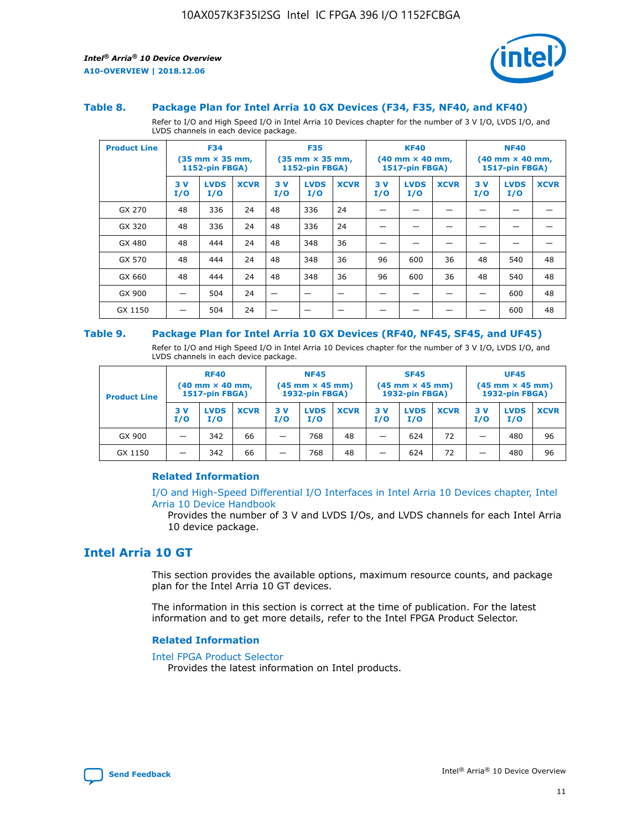

#### **Table 8. Package Plan for Intel Arria 10 GX Devices (F34, F35, NF40, and KF40)**

Refer to I/O and High Speed I/O in Intel Arria 10 Devices chapter for the number of 3 V I/O, LVDS I/O, and LVDS channels in each device package.

| <b>Product Line</b> | <b>F34</b><br>$(35 \text{ mm} \times 35 \text{ mm})$<br><b>1152-pin FBGA)</b> |                    | <b>F35</b><br>$(35 \text{ mm} \times 35 \text{ mm})$<br><b>1152-pin FBGA)</b> |           | <b>KF40</b><br>$(40$ mm $\times$ 40 mm,<br><b>1517-pin FBGA)</b> |             |           | <b>NF40</b><br>$(40 \text{ mm} \times 40 \text{ mm})$<br>1517-pin FBGA) |             |           |                    |             |
|---------------------|-------------------------------------------------------------------------------|--------------------|-------------------------------------------------------------------------------|-----------|------------------------------------------------------------------|-------------|-----------|-------------------------------------------------------------------------|-------------|-----------|--------------------|-------------|
|                     | 3V<br>I/O                                                                     | <b>LVDS</b><br>I/O | <b>XCVR</b>                                                                   | 3V<br>I/O | <b>LVDS</b><br>I/O                                               | <b>XCVR</b> | 3V<br>I/O | <b>LVDS</b><br>I/O                                                      | <b>XCVR</b> | 3V<br>I/O | <b>LVDS</b><br>I/O | <b>XCVR</b> |
| GX 270              | 48                                                                            | 336                | 24                                                                            | 48        | 336                                                              | 24          |           |                                                                         |             |           |                    |             |
| GX 320              | 48                                                                            | 336                | 24                                                                            | 48        | 336                                                              | 24          |           |                                                                         |             |           |                    |             |
| GX 480              | 48                                                                            | 444                | 24                                                                            | 48        | 348                                                              | 36          |           |                                                                         |             |           |                    |             |
| GX 570              | 48                                                                            | 444                | 24                                                                            | 48        | 348                                                              | 36          | 96        | 600                                                                     | 36          | 48        | 540                | 48          |
| GX 660              | 48                                                                            | 444                | 24                                                                            | 48        | 348                                                              | 36          | 96        | 600                                                                     | 36          | 48        | 540                | 48          |
| GX 900              |                                                                               | 504                | 24                                                                            | –         |                                                                  | -           |           |                                                                         |             |           | 600                | 48          |
| GX 1150             |                                                                               | 504                | 24                                                                            |           |                                                                  |             |           |                                                                         |             |           | 600                | 48          |

#### **Table 9. Package Plan for Intel Arria 10 GX Devices (RF40, NF45, SF45, and UF45)**

Refer to I/O and High Speed I/O in Intel Arria 10 Devices chapter for the number of 3 V I/O, LVDS I/O, and LVDS channels in each device package.

| <b>Product Line</b> | <b>RF40</b><br>$(40$ mm $\times$ 40 mm,<br>1517-pin FBGA) |                    |             | <b>NF45</b><br>$(45 \text{ mm} \times 45 \text{ mm})$<br><b>1932-pin FBGA)</b> |                    |             | <b>SF45</b><br>$(45 \text{ mm} \times 45 \text{ mm})$<br><b>1932-pin FBGA)</b> |                    |             | <b>UF45</b><br>$(45 \text{ mm} \times 45 \text{ mm})$<br><b>1932-pin FBGA)</b> |                    |             |
|---------------------|-----------------------------------------------------------|--------------------|-------------|--------------------------------------------------------------------------------|--------------------|-------------|--------------------------------------------------------------------------------|--------------------|-------------|--------------------------------------------------------------------------------|--------------------|-------------|
|                     | 3V<br>I/O                                                 | <b>LVDS</b><br>I/O | <b>XCVR</b> | 3 V<br>I/O                                                                     | <b>LVDS</b><br>I/O | <b>XCVR</b> | 3 V<br>I/O                                                                     | <b>LVDS</b><br>I/O | <b>XCVR</b> | 3V<br>I/O                                                                      | <b>LVDS</b><br>I/O | <b>XCVR</b> |
| GX 900              |                                                           | 342                | 66          | _                                                                              | 768                | 48          |                                                                                | 624                | 72          |                                                                                | 480                | 96          |
| GX 1150             |                                                           | 342                | 66          | _                                                                              | 768                | 48          |                                                                                | 624                | 72          |                                                                                | 480                | 96          |

#### **Related Information**

[I/O and High-Speed Differential I/O Interfaces in Intel Arria 10 Devices chapter, Intel](https://www.intel.com/content/www/us/en/programmable/documentation/sam1403482614086.html#sam1403482030321) [Arria 10 Device Handbook](https://www.intel.com/content/www/us/en/programmable/documentation/sam1403482614086.html#sam1403482030321)

Provides the number of 3 V and LVDS I/Os, and LVDS channels for each Intel Arria 10 device package.

# **Intel Arria 10 GT**

This section provides the available options, maximum resource counts, and package plan for the Intel Arria 10 GT devices.

The information in this section is correct at the time of publication. For the latest information and to get more details, refer to the Intel FPGA Product Selector.

#### **Related Information**

#### [Intel FPGA Product Selector](http://www.altera.com/products/selector/psg-selector.html)

Provides the latest information on Intel products.

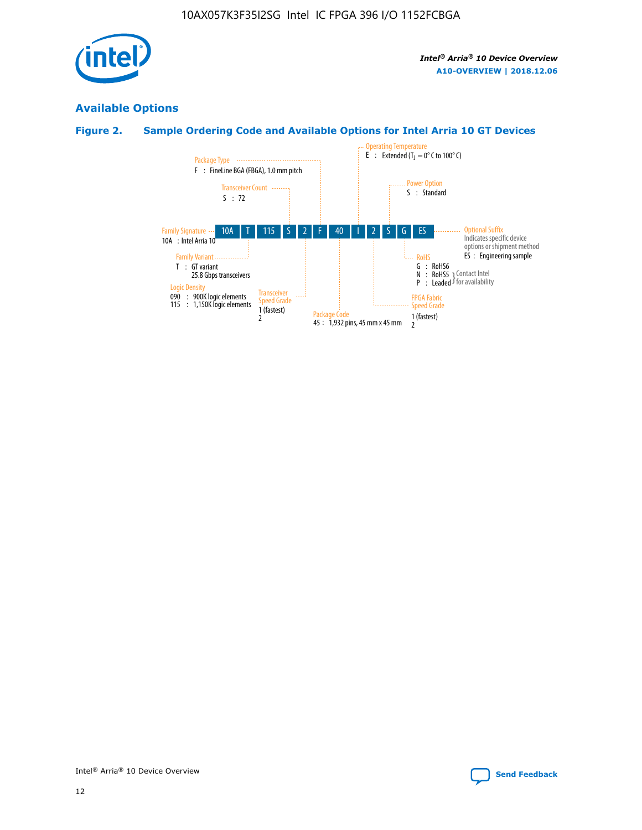

# **Available Options**

# **Figure 2. Sample Ordering Code and Available Options for Intel Arria 10 GT Devices**

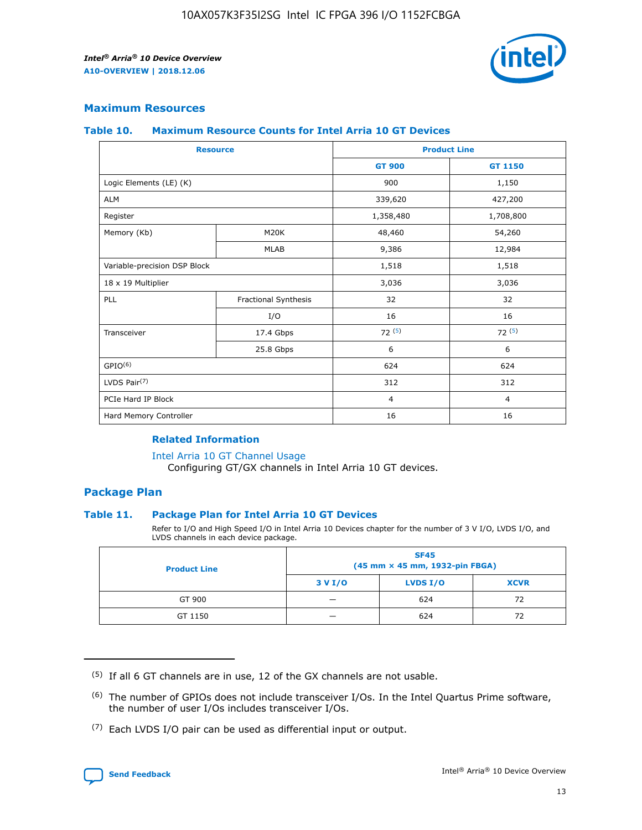

# **Maximum Resources**

#### **Table 10. Maximum Resource Counts for Intel Arria 10 GT Devices**

| <b>Resource</b>              |                      |                | <b>Product Line</b> |  |
|------------------------------|----------------------|----------------|---------------------|--|
|                              |                      | <b>GT 900</b>  | <b>GT 1150</b>      |  |
| Logic Elements (LE) (K)      |                      | 900            | 1,150               |  |
| <b>ALM</b>                   |                      | 339,620        | 427,200             |  |
| Register                     |                      | 1,358,480      | 1,708,800           |  |
| Memory (Kb)                  | M20K                 | 48,460         | 54,260              |  |
|                              | <b>MLAB</b>          | 9,386          | 12,984              |  |
| Variable-precision DSP Block |                      | 1,518          | 1,518               |  |
| 18 x 19 Multiplier           |                      | 3,036          | 3,036               |  |
| <b>PLL</b>                   | Fractional Synthesis | 32             | 32                  |  |
|                              | I/O                  | 16             | 16                  |  |
| Transceiver                  | 17.4 Gbps            | 72(5)          | 72(5)               |  |
|                              | 25.8 Gbps            | 6              | 6                   |  |
| GPIO <sup>(6)</sup>          |                      | 624            | 624                 |  |
| LVDS Pair $(7)$              |                      | 312            | 312                 |  |
| PCIe Hard IP Block           |                      | $\overline{4}$ | $\overline{4}$      |  |
| Hard Memory Controller       |                      | 16             | 16                  |  |

### **Related Information**

#### [Intel Arria 10 GT Channel Usage](https://www.intel.com/content/www/us/en/programmable/documentation/nik1398707230472.html#nik1398707008178)

Configuring GT/GX channels in Intel Arria 10 GT devices.

## **Package Plan**

#### **Table 11. Package Plan for Intel Arria 10 GT Devices**

Refer to I/O and High Speed I/O in Intel Arria 10 Devices chapter for the number of 3 V I/O, LVDS I/O, and LVDS channels in each device package.

| <b>Product Line</b> | <b>SF45</b><br>(45 mm × 45 mm, 1932-pin FBGA) |                 |             |  |  |  |
|---------------------|-----------------------------------------------|-----------------|-------------|--|--|--|
|                     | 3 V I/O                                       | <b>LVDS I/O</b> | <b>XCVR</b> |  |  |  |
| GT 900              |                                               | 624             | 72          |  |  |  |
| GT 1150             |                                               | 624             | 72          |  |  |  |

<sup>(7)</sup> Each LVDS I/O pair can be used as differential input or output.



 $(5)$  If all 6 GT channels are in use, 12 of the GX channels are not usable.

<sup>(6)</sup> The number of GPIOs does not include transceiver I/Os. In the Intel Quartus Prime software, the number of user I/Os includes transceiver I/Os.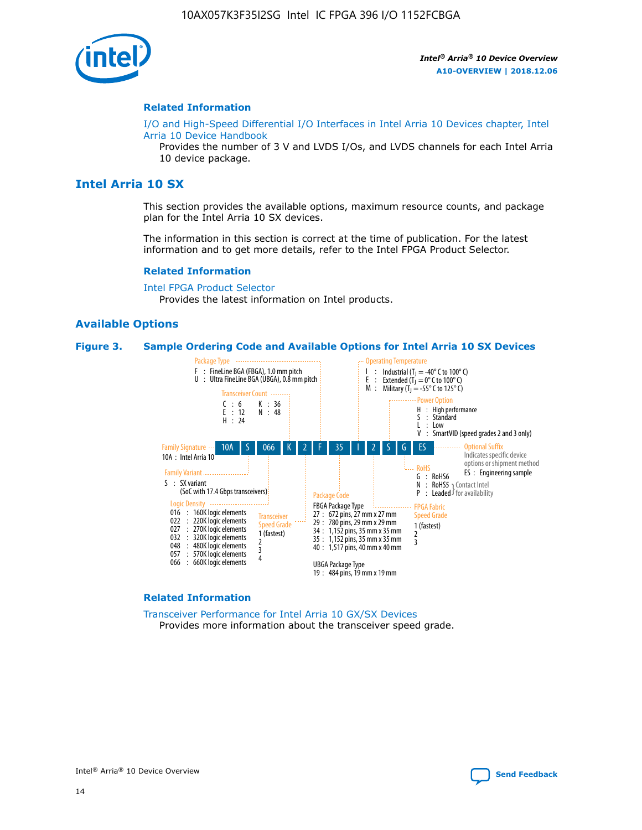

#### **Related Information**

[I/O and High-Speed Differential I/O Interfaces in Intel Arria 10 Devices chapter, Intel](https://www.intel.com/content/www/us/en/programmable/documentation/sam1403482614086.html#sam1403482030321) [Arria 10 Device Handbook](https://www.intel.com/content/www/us/en/programmable/documentation/sam1403482614086.html#sam1403482030321)

Provides the number of 3 V and LVDS I/Os, and LVDS channels for each Intel Arria 10 device package.

# **Intel Arria 10 SX**

This section provides the available options, maximum resource counts, and package plan for the Intel Arria 10 SX devices.

The information in this section is correct at the time of publication. For the latest information and to get more details, refer to the Intel FPGA Product Selector.

#### **Related Information**

[Intel FPGA Product Selector](http://www.altera.com/products/selector/psg-selector.html) Provides the latest information on Intel products.

#### **Available Options**

#### **Figure 3. Sample Ordering Code and Available Options for Intel Arria 10 SX Devices**



#### **Related Information**

[Transceiver Performance for Intel Arria 10 GX/SX Devices](https://www.intel.com/content/www/us/en/programmable/documentation/mcn1413182292568.html#mcn1413213965502) Provides more information about the transceiver speed grade.

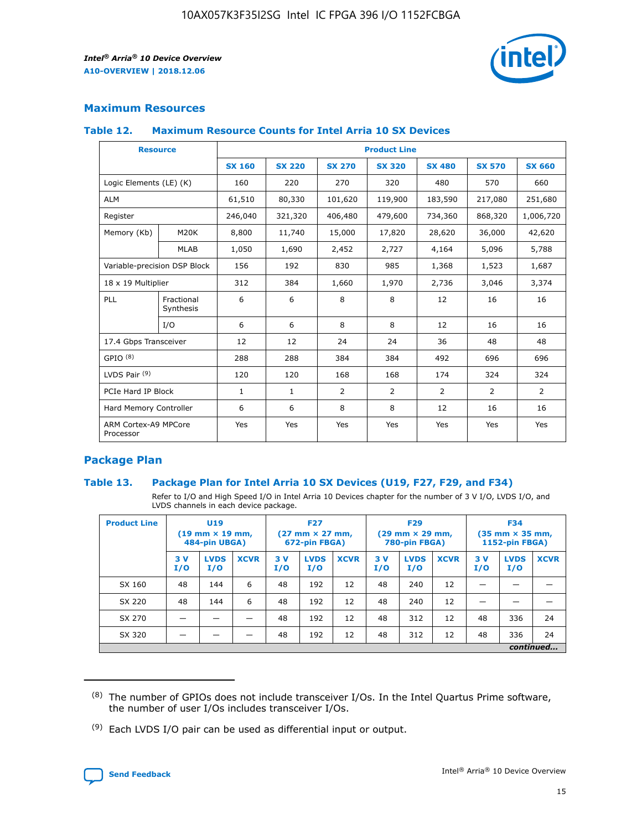

# **Maximum Resources**

#### **Table 12. Maximum Resource Counts for Intel Arria 10 SX Devices**

|                                   | <b>Resource</b>         | <b>Product Line</b> |               |                |                |                |                |                |  |  |  |
|-----------------------------------|-------------------------|---------------------|---------------|----------------|----------------|----------------|----------------|----------------|--|--|--|
|                                   |                         | <b>SX 160</b>       | <b>SX 220</b> | <b>SX 270</b>  | <b>SX 320</b>  | <b>SX 480</b>  | <b>SX 570</b>  | <b>SX 660</b>  |  |  |  |
| Logic Elements (LE) (K)           |                         | 160                 | 220           | 270            | 320            | 480            | 570            | 660            |  |  |  |
| <b>ALM</b>                        |                         | 61,510              | 80,330        | 101,620        | 119,900        | 183,590        | 217,080        | 251,680        |  |  |  |
| Register                          |                         | 246,040             | 321,320       | 406,480        | 479,600        | 734,360        | 868,320        | 1,006,720      |  |  |  |
| Memory (Kb)                       | <b>M20K</b>             | 8,800               | 11,740        | 15,000         | 17,820         | 28,620         | 36,000         | 42,620         |  |  |  |
|                                   | <b>MLAB</b>             | 1,050               | 1,690         | 2,452          | 2,727          | 4,164          | 5,096          | 5,788          |  |  |  |
| Variable-precision DSP Block      |                         | 156                 | 192           | 830            | 985            | 1,368          | 1,523          | 1,687          |  |  |  |
| 18 x 19 Multiplier                |                         | 312                 | 384           | 1,660          | 1,970          | 2,736          | 3,046          | 3,374          |  |  |  |
| <b>PLL</b>                        | Fractional<br>Synthesis | 6                   | 6             | 8              | 8              | 12             | 16             | 16             |  |  |  |
|                                   | I/O                     | 6                   | 6             | 8              | 8              | 12             | 16             | 16             |  |  |  |
| 17.4 Gbps Transceiver             |                         | 12                  | 12            | 24             | 24             | 36             | 48             | 48             |  |  |  |
| GPIO <sup>(8)</sup>               |                         | 288                 | 288           | 384            | 384            | 492            | 696            | 696            |  |  |  |
| LVDS Pair $(9)$                   |                         | 120                 | 120           | 168            | 168            | 174            | 324            | 324            |  |  |  |
| PCIe Hard IP Block                |                         | $\mathbf{1}$        | $\mathbf{1}$  | $\overline{2}$ | $\overline{2}$ | $\overline{2}$ | $\overline{2}$ | $\overline{2}$ |  |  |  |
| Hard Memory Controller            |                         | 6                   | 6             | 8              | 8              | 12             | 16             | 16             |  |  |  |
| ARM Cortex-A9 MPCore<br>Processor |                         | Yes                 | Yes           | Yes            | Yes            | Yes            | Yes            | Yes            |  |  |  |

# **Package Plan**

#### **Table 13. Package Plan for Intel Arria 10 SX Devices (U19, F27, F29, and F34)**

Refer to I/O and High Speed I/O in Intel Arria 10 Devices chapter for the number of 3 V I/O, LVDS I/O, and LVDS channels in each device package.

| <b>Product Line</b> | U <sub>19</sub><br>$(19 \text{ mm} \times 19 \text{ mm})$<br>484-pin UBGA) |                    |             | <b>F27</b><br>$(27 \text{ mm} \times 27 \text{ mm})$ .<br>672-pin FBGA) |                    | <b>F29</b><br>$(29 \text{ mm} \times 29 \text{ mm})$ .<br>780-pin FBGA) |            |                    | <b>F34</b><br>$(35 \text{ mm} \times 35 \text{ mm})$<br><b>1152-pin FBGA)</b> |           |                    |             |
|---------------------|----------------------------------------------------------------------------|--------------------|-------------|-------------------------------------------------------------------------|--------------------|-------------------------------------------------------------------------|------------|--------------------|-------------------------------------------------------------------------------|-----------|--------------------|-------------|
|                     | 3V<br>I/O                                                                  | <b>LVDS</b><br>I/O | <b>XCVR</b> | 3V<br>I/O                                                               | <b>LVDS</b><br>I/O | <b>XCVR</b>                                                             | 3 V<br>I/O | <b>LVDS</b><br>I/O | <b>XCVR</b>                                                                   | 3V<br>I/O | <b>LVDS</b><br>I/O | <b>XCVR</b> |
| SX 160              | 48                                                                         | 144                | 6           | 48                                                                      | 192                | 12                                                                      | 48         | 240                | 12                                                                            |           |                    |             |
| SX 220              | 48                                                                         | 144                | 6           | 48                                                                      | 192                | 12                                                                      | 48         | 240                | 12                                                                            |           |                    |             |
| SX 270              |                                                                            |                    |             | 48                                                                      | 192                | 12                                                                      | 48         | 312                | 12                                                                            | 48        | 336                | 24          |
| SX 320              |                                                                            |                    |             | 48                                                                      | 192                | 12                                                                      | 48         | 312                | 12                                                                            | 48        | 336                | 24          |
|                     | continued                                                                  |                    |             |                                                                         |                    |                                                                         |            |                    |                                                                               |           |                    |             |

 $(8)$  The number of GPIOs does not include transceiver I/Os. In the Intel Quartus Prime software, the number of user I/Os includes transceiver I/Os.

 $(9)$  Each LVDS I/O pair can be used as differential input or output.

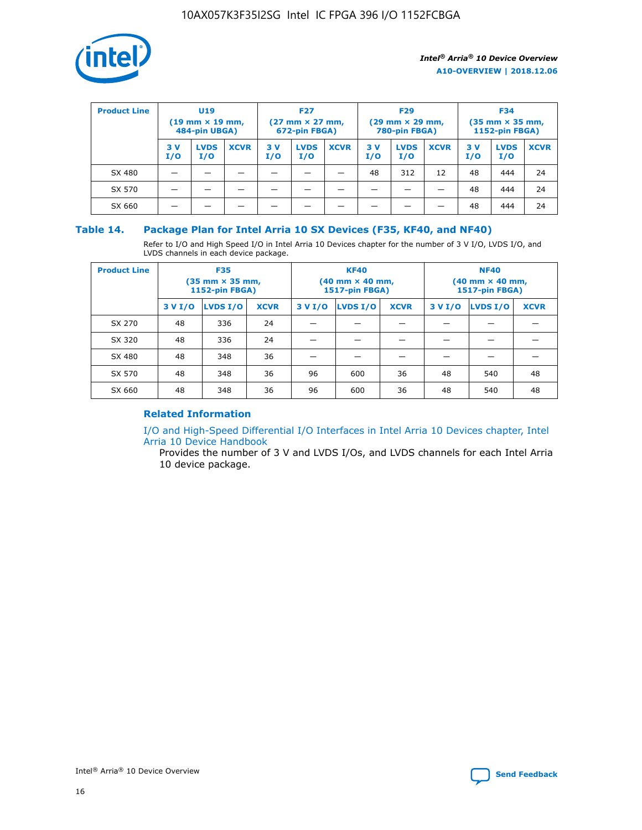

| <b>Product Line</b> | U <sub>19</sub><br>$(19 \text{ mm} \times 19 \text{ mm})$<br>484-pin UBGA) |                    | <b>F27</b><br>$(27 \text{ mm} \times 27 \text{ mm})$<br>672-pin FBGA) |           | <b>F29</b><br>$(29 \text{ mm} \times 29 \text{ mm})$<br>780-pin FBGA) |             |           | <b>F34</b><br>$(35 \text{ mm} \times 35 \text{ mm})$<br><b>1152-pin FBGA)</b> |             |           |                    |             |
|---------------------|----------------------------------------------------------------------------|--------------------|-----------------------------------------------------------------------|-----------|-----------------------------------------------------------------------|-------------|-----------|-------------------------------------------------------------------------------|-------------|-----------|--------------------|-------------|
|                     | 3 V<br>I/O                                                                 | <b>LVDS</b><br>I/O | <b>XCVR</b>                                                           | 3V<br>I/O | <b>LVDS</b><br>I/O                                                    | <b>XCVR</b> | 3V<br>I/O | <b>LVDS</b><br>I/O                                                            | <b>XCVR</b> | 3V<br>I/O | <b>LVDS</b><br>I/O | <b>XCVR</b> |
| SX 480              |                                                                            |                    |                                                                       |           |                                                                       |             | 48        | 312                                                                           | 12          | 48        | 444                | 24          |
| SX 570              |                                                                            |                    |                                                                       |           |                                                                       |             |           |                                                                               |             | 48        | 444                | 24          |
| SX 660              |                                                                            |                    |                                                                       |           |                                                                       |             |           |                                                                               |             | 48        | 444                | 24          |

## **Table 14. Package Plan for Intel Arria 10 SX Devices (F35, KF40, and NF40)**

Refer to I/O and High Speed I/O in Intel Arria 10 Devices chapter for the number of 3 V I/O, LVDS I/O, and LVDS channels in each device package.

| <b>Product Line</b> | <b>F35</b><br>(35 mm × 35 mm,<br><b>1152-pin FBGA)</b> |          |             |                                           | <b>KF40</b><br>(40 mm × 40 mm,<br>1517-pin FBGA) |    | <b>NF40</b><br>$(40 \text{ mm} \times 40 \text{ mm})$<br>1517-pin FBGA) |          |             |  |
|---------------------|--------------------------------------------------------|----------|-------------|-------------------------------------------|--------------------------------------------------|----|-------------------------------------------------------------------------|----------|-------------|--|
|                     | 3 V I/O                                                | LVDS I/O | <b>XCVR</b> | <b>LVDS I/O</b><br>3 V I/O<br><b>XCVR</b> |                                                  |    | 3 V I/O                                                                 | LVDS I/O | <b>XCVR</b> |  |
| SX 270              | 48                                                     | 336      | 24          |                                           |                                                  |    |                                                                         |          |             |  |
| SX 320              | 48                                                     | 336      | 24          |                                           |                                                  |    |                                                                         |          |             |  |
| SX 480              | 48                                                     | 348      | 36          |                                           |                                                  |    |                                                                         |          |             |  |
| SX 570              | 48                                                     | 348      | 36          | 96                                        | 600                                              | 36 | 48                                                                      | 540      | 48          |  |
| SX 660              | 48                                                     | 348      | 36          | 96                                        | 600                                              | 36 | 48                                                                      | 540      | 48          |  |

# **Related Information**

[I/O and High-Speed Differential I/O Interfaces in Intel Arria 10 Devices chapter, Intel](https://www.intel.com/content/www/us/en/programmable/documentation/sam1403482614086.html#sam1403482030321) [Arria 10 Device Handbook](https://www.intel.com/content/www/us/en/programmable/documentation/sam1403482614086.html#sam1403482030321)

Provides the number of 3 V and LVDS I/Os, and LVDS channels for each Intel Arria 10 device package.

Intel<sup>®</sup> Arria<sup>®</sup> 10 Device Overview **[Send Feedback](mailto:FPGAtechdocfeedback@intel.com?subject=Feedback%20on%20Intel%20Arria%2010%20Device%20Overview%20(A10-OVERVIEW%202018.12.06)&body=We%20appreciate%20your%20feedback.%20In%20your%20comments,%20also%20specify%20the%20page%20number%20or%20paragraph.%20Thank%20you.)** Send Feedback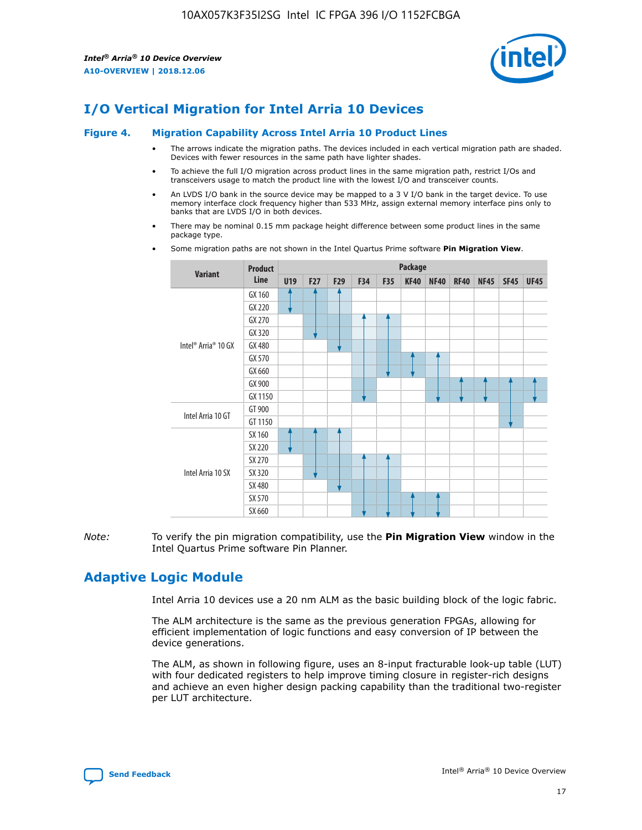

# **I/O Vertical Migration for Intel Arria 10 Devices**

#### **Figure 4. Migration Capability Across Intel Arria 10 Product Lines**

- The arrows indicate the migration paths. The devices included in each vertical migration path are shaded. Devices with fewer resources in the same path have lighter shades.
- To achieve the full I/O migration across product lines in the same migration path, restrict I/Os and transceivers usage to match the product line with the lowest I/O and transceiver counts.
- An LVDS I/O bank in the source device may be mapped to a 3 V I/O bank in the target device. To use memory interface clock frequency higher than 533 MHz, assign external memory interface pins only to banks that are LVDS I/O in both devices.
- There may be nominal 0.15 mm package height difference between some product lines in the same package type.
	- **Variant Product Line Package U19 F27 F29 F34 F35 KF40 NF40 RF40 NF45 SF45 UF45** Intel® Arria® 10 GX GX 160 GX 220 GX 270 GX 320 GX 480 GX 570 GX 660 GX 900 GX 1150 Intel Arria 10 GT GT 900 GT 1150 Intel Arria 10 SX SX 160 SX 220 SX 270 SX 320 SX 480 SX 570 SX 660
- Some migration paths are not shown in the Intel Quartus Prime software **Pin Migration View**.

*Note:* To verify the pin migration compatibility, use the **Pin Migration View** window in the Intel Quartus Prime software Pin Planner.

# **Adaptive Logic Module**

Intel Arria 10 devices use a 20 nm ALM as the basic building block of the logic fabric.

The ALM architecture is the same as the previous generation FPGAs, allowing for efficient implementation of logic functions and easy conversion of IP between the device generations.

The ALM, as shown in following figure, uses an 8-input fracturable look-up table (LUT) with four dedicated registers to help improve timing closure in register-rich designs and achieve an even higher design packing capability than the traditional two-register per LUT architecture.

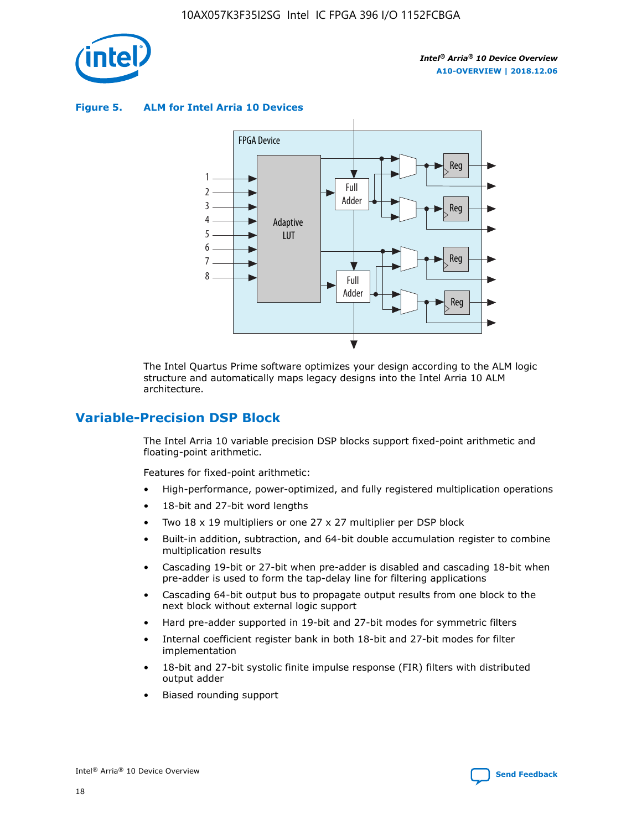

**Figure 5. ALM for Intel Arria 10 Devices**



The Intel Quartus Prime software optimizes your design according to the ALM logic structure and automatically maps legacy designs into the Intel Arria 10 ALM architecture.

# **Variable-Precision DSP Block**

The Intel Arria 10 variable precision DSP blocks support fixed-point arithmetic and floating-point arithmetic.

Features for fixed-point arithmetic:

- High-performance, power-optimized, and fully registered multiplication operations
- 18-bit and 27-bit word lengths
- Two 18 x 19 multipliers or one 27 x 27 multiplier per DSP block
- Built-in addition, subtraction, and 64-bit double accumulation register to combine multiplication results
- Cascading 19-bit or 27-bit when pre-adder is disabled and cascading 18-bit when pre-adder is used to form the tap-delay line for filtering applications
- Cascading 64-bit output bus to propagate output results from one block to the next block without external logic support
- Hard pre-adder supported in 19-bit and 27-bit modes for symmetric filters
- Internal coefficient register bank in both 18-bit and 27-bit modes for filter implementation
- 18-bit and 27-bit systolic finite impulse response (FIR) filters with distributed output adder
- Biased rounding support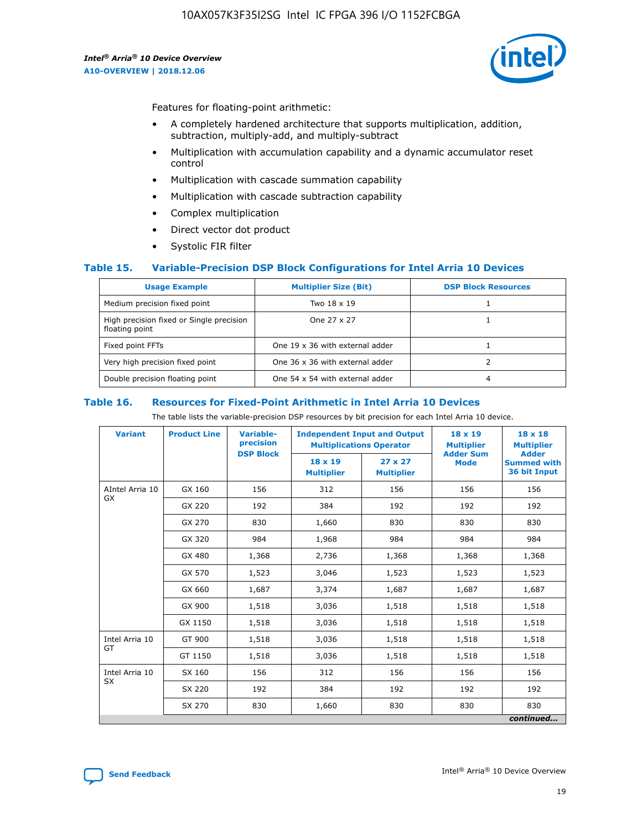

Features for floating-point arithmetic:

- A completely hardened architecture that supports multiplication, addition, subtraction, multiply-add, and multiply-subtract
- Multiplication with accumulation capability and a dynamic accumulator reset control
- Multiplication with cascade summation capability
- Multiplication with cascade subtraction capability
- Complex multiplication
- Direct vector dot product
- Systolic FIR filter

#### **Table 15. Variable-Precision DSP Block Configurations for Intel Arria 10 Devices**

| <b>Usage Example</b>                                       | <b>Multiplier Size (Bit)</b>    | <b>DSP Block Resources</b> |
|------------------------------------------------------------|---------------------------------|----------------------------|
| Medium precision fixed point                               | Two 18 x 19                     |                            |
| High precision fixed or Single precision<br>floating point | One 27 x 27                     |                            |
| Fixed point FFTs                                           | One 19 x 36 with external adder |                            |
| Very high precision fixed point                            | One 36 x 36 with external adder |                            |
| Double precision floating point                            | One 54 x 54 with external adder | 4                          |

#### **Table 16. Resources for Fixed-Point Arithmetic in Intel Arria 10 Devices**

The table lists the variable-precision DSP resources by bit precision for each Intel Arria 10 device.

| <b>Variant</b>  | <b>Product Line</b> | Variable-<br>precision<br><b>DSP Block</b> | <b>Independent Input and Output</b><br><b>Multiplications Operator</b> |                                     | 18 x 19<br><b>Multiplier</b><br><b>Adder Sum</b> | $18 \times 18$<br><b>Multiplier</b><br><b>Adder</b> |
|-----------------|---------------------|--------------------------------------------|------------------------------------------------------------------------|-------------------------------------|--------------------------------------------------|-----------------------------------------------------|
|                 |                     |                                            | 18 x 19<br><b>Multiplier</b>                                           | $27 \times 27$<br><b>Multiplier</b> | <b>Mode</b>                                      | <b>Summed with</b><br>36 bit Input                  |
| AIntel Arria 10 | GX 160              | 156                                        | 312                                                                    | 156                                 | 156                                              | 156                                                 |
| GX              | GX 220              | 192                                        | 384                                                                    | 192                                 | 192                                              | 192                                                 |
|                 | GX 270              | 830                                        | 1,660                                                                  | 830                                 | 830                                              | 830                                                 |
|                 | GX 320              | 984                                        | 1,968                                                                  | 984                                 | 984                                              | 984                                                 |
|                 | GX 480              | 1,368                                      | 2,736                                                                  | 1,368                               | 1,368                                            | 1,368                                               |
|                 | GX 570              | 1,523                                      | 3,046                                                                  | 1,523                               | 1,523                                            | 1,523                                               |
|                 | GX 660              | 1,687                                      | 3,374                                                                  | 1,687                               | 1,687                                            | 1,687                                               |
|                 | GX 900              | 1,518                                      | 3,036                                                                  | 1,518                               | 1,518                                            | 1,518                                               |
|                 | GX 1150             | 1,518                                      | 3,036                                                                  | 1,518                               | 1,518                                            | 1,518                                               |
| Intel Arria 10  | GT 900              | 1,518                                      | 3,036                                                                  | 1,518                               | 1,518                                            | 1,518                                               |
| GT              | GT 1150             | 1,518                                      | 3,036                                                                  | 1,518                               | 1,518                                            | 1,518                                               |
| Intel Arria 10  | SX 160              | 156                                        | 312                                                                    | 156                                 | 156                                              | 156                                                 |
| <b>SX</b>       | SX 220              | 192                                        | 384                                                                    | 192                                 | 192                                              | 192                                                 |
|                 | SX 270              | 830                                        | 1,660                                                                  | 830                                 | 830                                              | 830                                                 |
|                 |                     |                                            |                                                                        |                                     |                                                  | continued                                           |

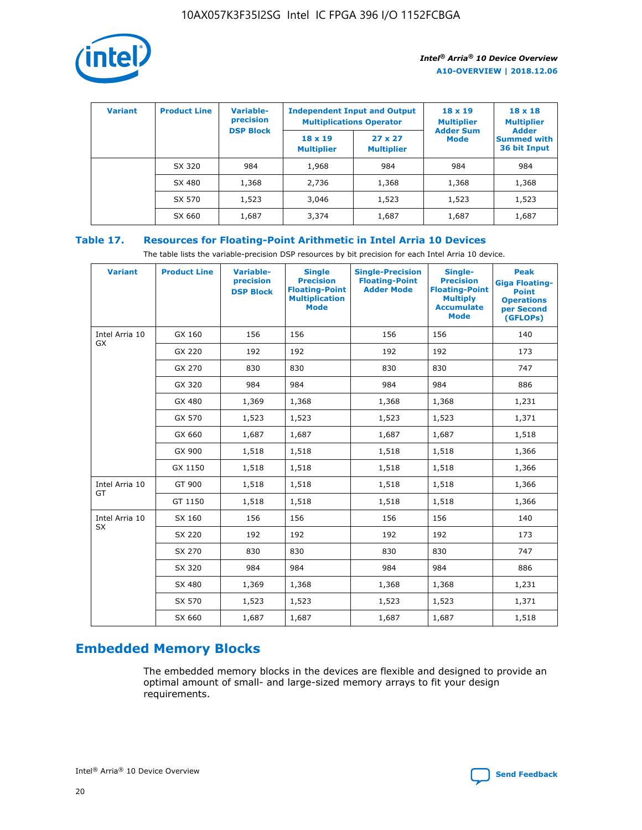

| <b>Variant</b> | <b>Product Line</b> | Variable-<br>precision | <b>Multiplications Operator</b>     | <b>Independent Input and Output</b> | $18 \times 19$<br><b>Multiplier</b> | $18 \times 18$<br><b>Multiplier</b><br><b>Adder</b> |  |
|----------------|---------------------|------------------------|-------------------------------------|-------------------------------------|-------------------------------------|-----------------------------------------------------|--|
|                |                     | <b>DSP Block</b>       | $18 \times 19$<br><b>Multiplier</b> | $27 \times 27$<br><b>Multiplier</b> | <b>Adder Sum</b><br><b>Mode</b>     | <b>Summed with</b><br>36 bit Input                  |  |
|                | SX 320              | 984                    | 1,968                               | 984                                 | 984                                 | 984                                                 |  |
|                | SX 480              | 1,368                  | 2,736                               | 1,368                               | 1,368                               | 1,368                                               |  |
|                | SX 570              | 1,523                  | 3,046                               | 1,523                               | 1,523                               | 1,523                                               |  |
|                | SX 660              | 1,687                  | 3,374                               | 1,687                               | 1,687                               | 1,687                                               |  |

# **Table 17. Resources for Floating-Point Arithmetic in Intel Arria 10 Devices**

The table lists the variable-precision DSP resources by bit precision for each Intel Arria 10 device.

| <b>Variant</b> | <b>Product Line</b> | <b>Variable-</b><br>precision<br><b>DSP Block</b> | <b>Single</b><br><b>Precision</b><br><b>Floating-Point</b><br><b>Multiplication</b><br><b>Mode</b> | <b>Single-Precision</b><br><b>Floating-Point</b><br><b>Adder Mode</b> | Single-<br><b>Precision</b><br><b>Floating-Point</b><br><b>Multiply</b><br><b>Accumulate</b><br><b>Mode</b> | <b>Peak</b><br><b>Giga Floating-</b><br><b>Point</b><br><b>Operations</b><br>per Second<br>(GFLOPs) |
|----------------|---------------------|---------------------------------------------------|----------------------------------------------------------------------------------------------------|-----------------------------------------------------------------------|-------------------------------------------------------------------------------------------------------------|-----------------------------------------------------------------------------------------------------|
| Intel Arria 10 | GX 160              | 156                                               | 156                                                                                                | 156                                                                   | 156                                                                                                         | 140                                                                                                 |
| GX             | GX 220              | 192                                               | 192                                                                                                | 192                                                                   | 192                                                                                                         | 173                                                                                                 |
|                | GX 270              | 830                                               | 830                                                                                                | 830                                                                   | 830                                                                                                         | 747                                                                                                 |
|                | GX 320              | 984                                               | 984                                                                                                | 984                                                                   | 984                                                                                                         | 886                                                                                                 |
|                | GX 480              | 1,369                                             | 1,368                                                                                              | 1,368                                                                 | 1,368                                                                                                       | 1,231                                                                                               |
|                | GX 570              | 1,523                                             | 1,523                                                                                              | 1,523                                                                 | 1,523                                                                                                       | 1,371                                                                                               |
|                | GX 660              | 1,687                                             | 1,687                                                                                              | 1,687                                                                 | 1,687                                                                                                       | 1,518                                                                                               |
|                | GX 900              | 1,518                                             | 1,518                                                                                              | 1,518                                                                 | 1,518                                                                                                       | 1,366                                                                                               |
|                | GX 1150             | 1,518                                             | 1,518                                                                                              | 1,518                                                                 | 1,518                                                                                                       | 1,366                                                                                               |
| Intel Arria 10 | GT 900              | 1,518                                             | 1,518                                                                                              | 1,518                                                                 | 1,518                                                                                                       | 1,366                                                                                               |
| GT             | GT 1150             | 1,518                                             | 1,518                                                                                              | 1,518                                                                 | 1,518                                                                                                       | 1,366                                                                                               |
| Intel Arria 10 | SX 160              | 156                                               | 156                                                                                                | 156                                                                   | 156                                                                                                         | 140                                                                                                 |
| <b>SX</b>      | SX 220              | 192                                               | 192                                                                                                | 192                                                                   | 192                                                                                                         | 173                                                                                                 |
|                | SX 270              | 830                                               | 830                                                                                                | 830                                                                   | 830                                                                                                         | 747                                                                                                 |
|                | SX 320              | 984                                               | 984                                                                                                | 984                                                                   | 984                                                                                                         | 886                                                                                                 |
|                | SX 480              | 1,369                                             | 1,368                                                                                              | 1,368                                                                 | 1,368                                                                                                       | 1,231                                                                                               |
|                | SX 570              | 1,523                                             | 1,523                                                                                              | 1,523                                                                 | 1,523                                                                                                       | 1,371                                                                                               |
|                | SX 660              | 1,687                                             | 1,687                                                                                              | 1,687                                                                 | 1,687                                                                                                       | 1,518                                                                                               |

# **Embedded Memory Blocks**

The embedded memory blocks in the devices are flexible and designed to provide an optimal amount of small- and large-sized memory arrays to fit your design requirements.

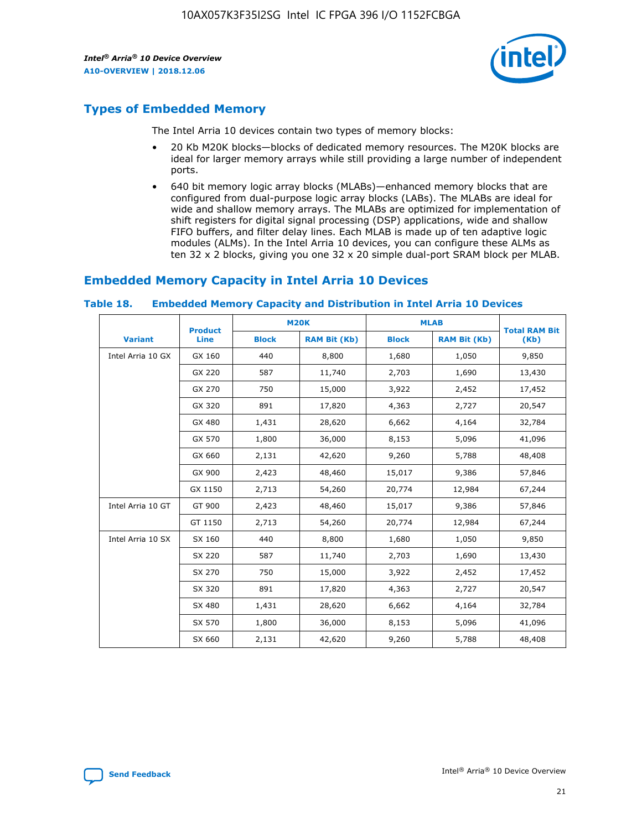

# **Types of Embedded Memory**

The Intel Arria 10 devices contain two types of memory blocks:

- 20 Kb M20K blocks—blocks of dedicated memory resources. The M20K blocks are ideal for larger memory arrays while still providing a large number of independent ports.
- 640 bit memory logic array blocks (MLABs)—enhanced memory blocks that are configured from dual-purpose logic array blocks (LABs). The MLABs are ideal for wide and shallow memory arrays. The MLABs are optimized for implementation of shift registers for digital signal processing (DSP) applications, wide and shallow FIFO buffers, and filter delay lines. Each MLAB is made up of ten adaptive logic modules (ALMs). In the Intel Arria 10 devices, you can configure these ALMs as ten 32 x 2 blocks, giving you one 32 x 20 simple dual-port SRAM block per MLAB.

# **Embedded Memory Capacity in Intel Arria 10 Devices**

|                   | <b>Product</b> |              | <b>M20K</b>         | <b>MLAB</b>  |                     | <b>Total RAM Bit</b> |
|-------------------|----------------|--------------|---------------------|--------------|---------------------|----------------------|
| <b>Variant</b>    | Line           | <b>Block</b> | <b>RAM Bit (Kb)</b> | <b>Block</b> | <b>RAM Bit (Kb)</b> | (Kb)                 |
| Intel Arria 10 GX | GX 160         | 440          | 8,800               | 1,680        | 1,050               | 9,850                |
|                   | GX 220         | 587          | 11,740              | 2,703        | 1,690               | 13,430               |
|                   | GX 270         | 750          | 15,000              | 3,922        | 2,452               | 17,452               |
|                   | GX 320         | 891          | 17,820              | 4,363        | 2,727               | 20,547               |
|                   | GX 480         | 1,431        | 28,620              | 6,662        | 4,164               | 32,784               |
|                   | GX 570         | 1,800        | 36,000              | 8,153        | 5,096               | 41,096               |
|                   | GX 660         | 2,131        | 42,620              | 9,260        | 5,788               | 48,408               |
|                   | GX 900         | 2,423        | 48,460              | 15,017       | 9,386               | 57,846               |
|                   | GX 1150        | 2,713        | 54,260              | 20,774       | 12,984              | 67,244               |
| Intel Arria 10 GT | GT 900         | 2,423        | 48,460              | 15,017       | 9,386               | 57,846               |
|                   | GT 1150        | 2,713        | 54,260              | 20,774       | 12,984              | 67,244               |
| Intel Arria 10 SX | SX 160         | 440          | 8,800               | 1,680        | 1,050               | 9,850                |
|                   | SX 220         | 587          | 11,740              | 2,703        | 1,690               | 13,430               |
|                   | SX 270         | 750          | 15,000              | 3,922        | 2,452               | 17,452               |
|                   | SX 320         | 891          | 17,820              | 4,363        | 2,727               | 20,547               |
|                   | SX 480         | 1,431        | 28,620              | 6,662        | 4,164               | 32,784               |
|                   | SX 570         | 1,800        | 36,000              | 8,153        | 5,096               | 41,096               |
|                   | SX 660         | 2,131        | 42,620              | 9,260        | 5,788               | 48,408               |

#### **Table 18. Embedded Memory Capacity and Distribution in Intel Arria 10 Devices**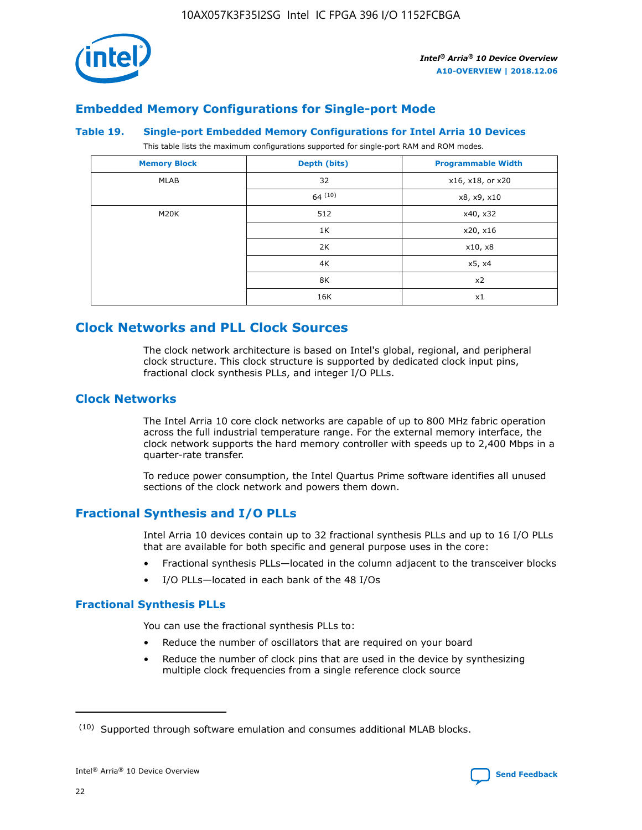

# **Embedded Memory Configurations for Single-port Mode**

#### **Table 19. Single-port Embedded Memory Configurations for Intel Arria 10 Devices**

This table lists the maximum configurations supported for single-port RAM and ROM modes.

| <b>Memory Block</b> | Depth (bits) | <b>Programmable Width</b> |
|---------------------|--------------|---------------------------|
| MLAB                | 32           | x16, x18, or x20          |
|                     | 64(10)       | x8, x9, x10               |
| M20K                | 512          | x40, x32                  |
|                     | 1K           | x20, x16                  |
|                     | 2K           | x10, x8                   |
|                     | 4K           | x5, x4                    |
|                     | 8K           | x2                        |
|                     | 16K          | x1                        |

# **Clock Networks and PLL Clock Sources**

The clock network architecture is based on Intel's global, regional, and peripheral clock structure. This clock structure is supported by dedicated clock input pins, fractional clock synthesis PLLs, and integer I/O PLLs.

# **Clock Networks**

The Intel Arria 10 core clock networks are capable of up to 800 MHz fabric operation across the full industrial temperature range. For the external memory interface, the clock network supports the hard memory controller with speeds up to 2,400 Mbps in a quarter-rate transfer.

To reduce power consumption, the Intel Quartus Prime software identifies all unused sections of the clock network and powers them down.

# **Fractional Synthesis and I/O PLLs**

Intel Arria 10 devices contain up to 32 fractional synthesis PLLs and up to 16 I/O PLLs that are available for both specific and general purpose uses in the core:

- Fractional synthesis PLLs—located in the column adjacent to the transceiver blocks
- I/O PLLs—located in each bank of the 48 I/Os

# **Fractional Synthesis PLLs**

You can use the fractional synthesis PLLs to:

- Reduce the number of oscillators that are required on your board
- Reduce the number of clock pins that are used in the device by synthesizing multiple clock frequencies from a single reference clock source

<sup>(10)</sup> Supported through software emulation and consumes additional MLAB blocks.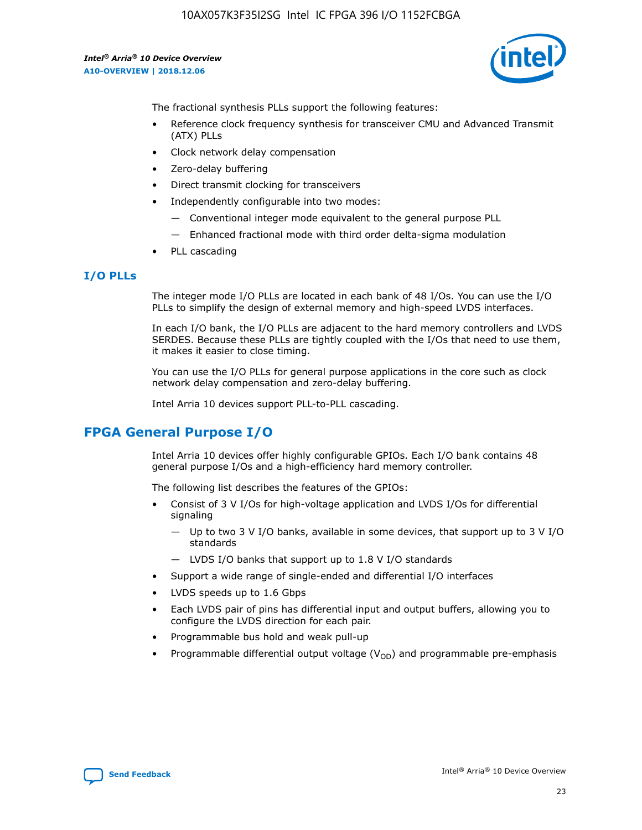

The fractional synthesis PLLs support the following features:

- Reference clock frequency synthesis for transceiver CMU and Advanced Transmit (ATX) PLLs
- Clock network delay compensation
- Zero-delay buffering
- Direct transmit clocking for transceivers
- Independently configurable into two modes:
	- Conventional integer mode equivalent to the general purpose PLL
	- Enhanced fractional mode with third order delta-sigma modulation
- PLL cascading

#### **I/O PLLs**

The integer mode I/O PLLs are located in each bank of 48 I/Os. You can use the I/O PLLs to simplify the design of external memory and high-speed LVDS interfaces.

In each I/O bank, the I/O PLLs are adjacent to the hard memory controllers and LVDS SERDES. Because these PLLs are tightly coupled with the I/Os that need to use them, it makes it easier to close timing.

You can use the I/O PLLs for general purpose applications in the core such as clock network delay compensation and zero-delay buffering.

Intel Arria 10 devices support PLL-to-PLL cascading.

# **FPGA General Purpose I/O**

Intel Arria 10 devices offer highly configurable GPIOs. Each I/O bank contains 48 general purpose I/Os and a high-efficiency hard memory controller.

The following list describes the features of the GPIOs:

- Consist of 3 V I/Os for high-voltage application and LVDS I/Os for differential signaling
	- Up to two 3 V I/O banks, available in some devices, that support up to 3 V I/O standards
	- LVDS I/O banks that support up to 1.8 V I/O standards
- Support a wide range of single-ended and differential I/O interfaces
- LVDS speeds up to 1.6 Gbps
- Each LVDS pair of pins has differential input and output buffers, allowing you to configure the LVDS direction for each pair.
- Programmable bus hold and weak pull-up
- Programmable differential output voltage  $(V_{OD})$  and programmable pre-emphasis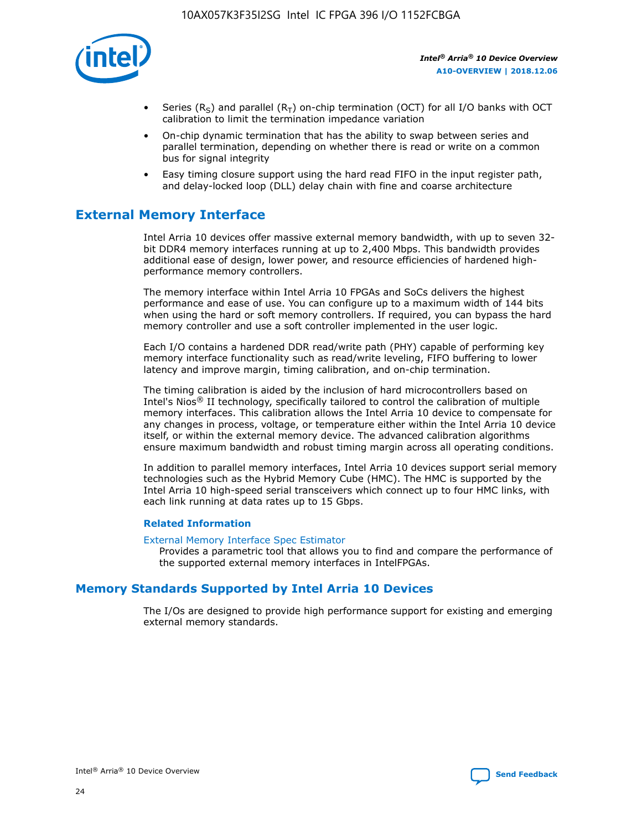

- Series (R<sub>S</sub>) and parallel (R<sub>T</sub>) on-chip termination (OCT) for all I/O banks with OCT calibration to limit the termination impedance variation
- On-chip dynamic termination that has the ability to swap between series and parallel termination, depending on whether there is read or write on a common bus for signal integrity
- Easy timing closure support using the hard read FIFO in the input register path, and delay-locked loop (DLL) delay chain with fine and coarse architecture

# **External Memory Interface**

Intel Arria 10 devices offer massive external memory bandwidth, with up to seven 32 bit DDR4 memory interfaces running at up to 2,400 Mbps. This bandwidth provides additional ease of design, lower power, and resource efficiencies of hardened highperformance memory controllers.

The memory interface within Intel Arria 10 FPGAs and SoCs delivers the highest performance and ease of use. You can configure up to a maximum width of 144 bits when using the hard or soft memory controllers. If required, you can bypass the hard memory controller and use a soft controller implemented in the user logic.

Each I/O contains a hardened DDR read/write path (PHY) capable of performing key memory interface functionality such as read/write leveling, FIFO buffering to lower latency and improve margin, timing calibration, and on-chip termination.

The timing calibration is aided by the inclusion of hard microcontrollers based on Intel's Nios® II technology, specifically tailored to control the calibration of multiple memory interfaces. This calibration allows the Intel Arria 10 device to compensate for any changes in process, voltage, or temperature either within the Intel Arria 10 device itself, or within the external memory device. The advanced calibration algorithms ensure maximum bandwidth and robust timing margin across all operating conditions.

In addition to parallel memory interfaces, Intel Arria 10 devices support serial memory technologies such as the Hybrid Memory Cube (HMC). The HMC is supported by the Intel Arria 10 high-speed serial transceivers which connect up to four HMC links, with each link running at data rates up to 15 Gbps.

#### **Related Information**

#### [External Memory Interface Spec Estimator](http://www.altera.com/technology/memory/estimator/mem-emif-index.html)

Provides a parametric tool that allows you to find and compare the performance of the supported external memory interfaces in IntelFPGAs.

# **Memory Standards Supported by Intel Arria 10 Devices**

The I/Os are designed to provide high performance support for existing and emerging external memory standards.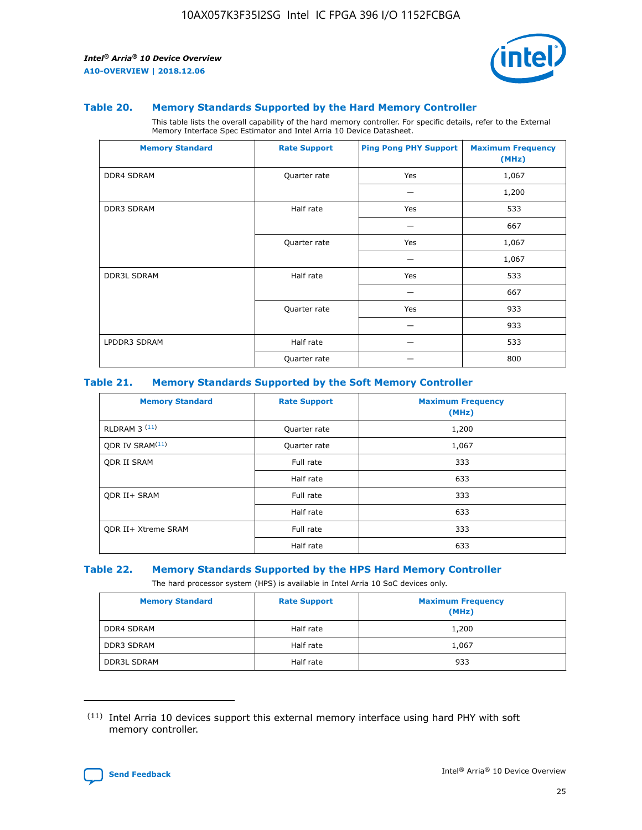

#### **Table 20. Memory Standards Supported by the Hard Memory Controller**

This table lists the overall capability of the hard memory controller. For specific details, refer to the External Memory Interface Spec Estimator and Intel Arria 10 Device Datasheet.

| <b>Memory Standard</b> | <b>Rate Support</b> | <b>Ping Pong PHY Support</b> | <b>Maximum Frequency</b><br>(MHz) |
|------------------------|---------------------|------------------------------|-----------------------------------|
| <b>DDR4 SDRAM</b>      | Quarter rate        | Yes                          | 1,067                             |
|                        |                     |                              | 1,200                             |
| <b>DDR3 SDRAM</b>      | Half rate           | Yes                          | 533                               |
|                        |                     |                              | 667                               |
|                        | Quarter rate        | Yes                          | 1,067                             |
|                        |                     |                              | 1,067                             |
| <b>DDR3L SDRAM</b>     | Half rate           | Yes                          | 533                               |
|                        |                     |                              | 667                               |
|                        | Quarter rate        | Yes                          | 933                               |
|                        |                     |                              | 933                               |
| LPDDR3 SDRAM           | Half rate           |                              | 533                               |
|                        | Quarter rate        |                              | 800                               |

#### **Table 21. Memory Standards Supported by the Soft Memory Controller**

| <b>Memory Standard</b>      | <b>Rate Support</b> | <b>Maximum Frequency</b><br>(MHz) |
|-----------------------------|---------------------|-----------------------------------|
| <b>RLDRAM 3 (11)</b>        | Quarter rate        | 1,200                             |
| ODR IV SRAM <sup>(11)</sup> | Quarter rate        | 1,067                             |
| <b>ODR II SRAM</b>          | Full rate           | 333                               |
|                             | Half rate           | 633                               |
| <b>ODR II+ SRAM</b>         | Full rate           | 333                               |
|                             | Half rate           | 633                               |
| <b>ODR II+ Xtreme SRAM</b>  | Full rate           | 333                               |
|                             | Half rate           | 633                               |

#### **Table 22. Memory Standards Supported by the HPS Hard Memory Controller**

The hard processor system (HPS) is available in Intel Arria 10 SoC devices only.

| <b>Memory Standard</b> | <b>Rate Support</b> | <b>Maximum Frequency</b><br>(MHz) |
|------------------------|---------------------|-----------------------------------|
| <b>DDR4 SDRAM</b>      | Half rate           | 1,200                             |
| <b>DDR3 SDRAM</b>      | Half rate           | 1,067                             |
| <b>DDR3L SDRAM</b>     | Half rate           | 933                               |

<sup>(11)</sup> Intel Arria 10 devices support this external memory interface using hard PHY with soft memory controller.

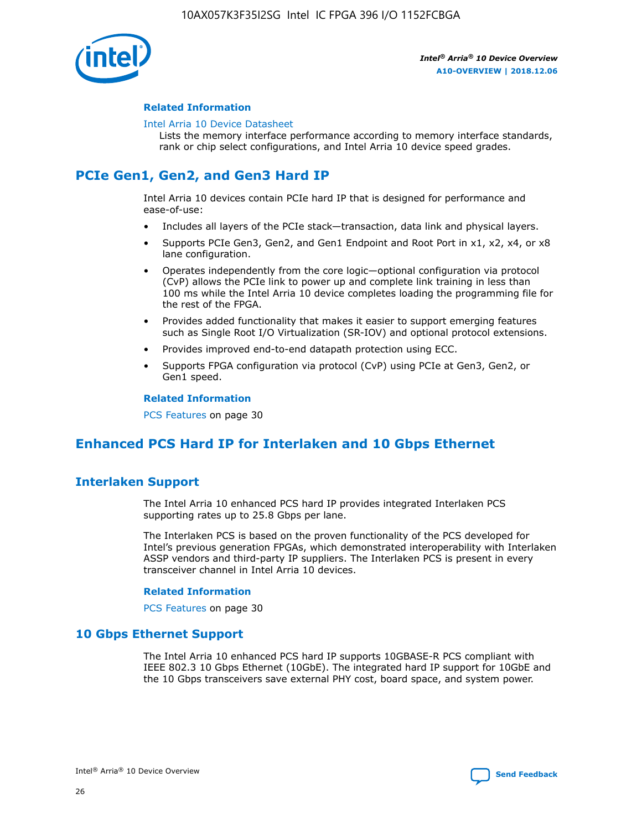

#### **Related Information**

#### [Intel Arria 10 Device Datasheet](https://www.intel.com/content/www/us/en/programmable/documentation/mcn1413182292568.html#mcn1413182153340)

Lists the memory interface performance according to memory interface standards, rank or chip select configurations, and Intel Arria 10 device speed grades.

# **PCIe Gen1, Gen2, and Gen3 Hard IP**

Intel Arria 10 devices contain PCIe hard IP that is designed for performance and ease-of-use:

- Includes all layers of the PCIe stack—transaction, data link and physical layers.
- Supports PCIe Gen3, Gen2, and Gen1 Endpoint and Root Port in x1, x2, x4, or x8 lane configuration.
- Operates independently from the core logic—optional configuration via protocol (CvP) allows the PCIe link to power up and complete link training in less than 100 ms while the Intel Arria 10 device completes loading the programming file for the rest of the FPGA.
- Provides added functionality that makes it easier to support emerging features such as Single Root I/O Virtualization (SR-IOV) and optional protocol extensions.
- Provides improved end-to-end datapath protection using ECC.
- Supports FPGA configuration via protocol (CvP) using PCIe at Gen3, Gen2, or Gen1 speed.

#### **Related Information**

PCS Features on page 30

# **Enhanced PCS Hard IP for Interlaken and 10 Gbps Ethernet**

# **Interlaken Support**

The Intel Arria 10 enhanced PCS hard IP provides integrated Interlaken PCS supporting rates up to 25.8 Gbps per lane.

The Interlaken PCS is based on the proven functionality of the PCS developed for Intel's previous generation FPGAs, which demonstrated interoperability with Interlaken ASSP vendors and third-party IP suppliers. The Interlaken PCS is present in every transceiver channel in Intel Arria 10 devices.

#### **Related Information**

PCS Features on page 30

# **10 Gbps Ethernet Support**

The Intel Arria 10 enhanced PCS hard IP supports 10GBASE-R PCS compliant with IEEE 802.3 10 Gbps Ethernet (10GbE). The integrated hard IP support for 10GbE and the 10 Gbps transceivers save external PHY cost, board space, and system power.

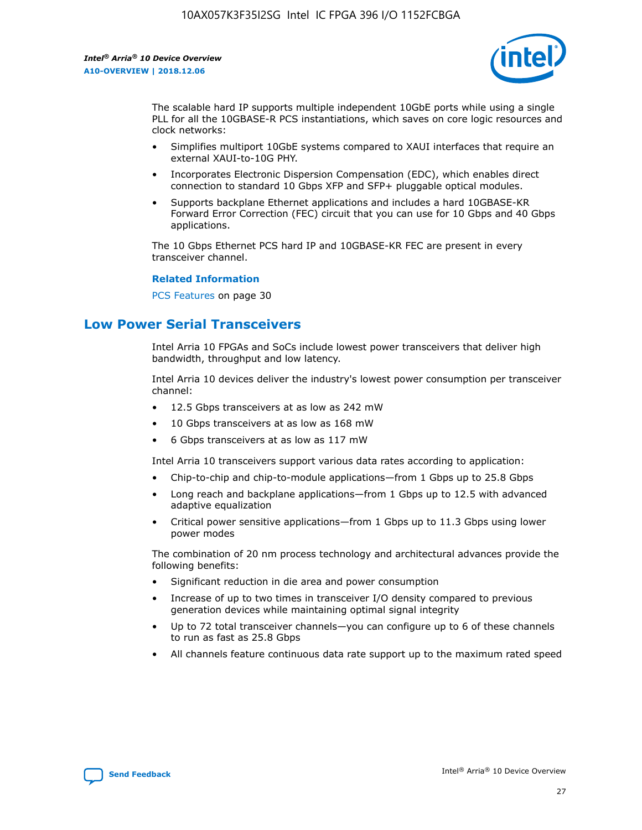

The scalable hard IP supports multiple independent 10GbE ports while using a single PLL for all the 10GBASE-R PCS instantiations, which saves on core logic resources and clock networks:

- Simplifies multiport 10GbE systems compared to XAUI interfaces that require an external XAUI-to-10G PHY.
- Incorporates Electronic Dispersion Compensation (EDC), which enables direct connection to standard 10 Gbps XFP and SFP+ pluggable optical modules.
- Supports backplane Ethernet applications and includes a hard 10GBASE-KR Forward Error Correction (FEC) circuit that you can use for 10 Gbps and 40 Gbps applications.

The 10 Gbps Ethernet PCS hard IP and 10GBASE-KR FEC are present in every transceiver channel.

#### **Related Information**

PCS Features on page 30

# **Low Power Serial Transceivers**

Intel Arria 10 FPGAs and SoCs include lowest power transceivers that deliver high bandwidth, throughput and low latency.

Intel Arria 10 devices deliver the industry's lowest power consumption per transceiver channel:

- 12.5 Gbps transceivers at as low as 242 mW
- 10 Gbps transceivers at as low as 168 mW
- 6 Gbps transceivers at as low as 117 mW

Intel Arria 10 transceivers support various data rates according to application:

- Chip-to-chip and chip-to-module applications—from 1 Gbps up to 25.8 Gbps
- Long reach and backplane applications—from 1 Gbps up to 12.5 with advanced adaptive equalization
- Critical power sensitive applications—from 1 Gbps up to 11.3 Gbps using lower power modes

The combination of 20 nm process technology and architectural advances provide the following benefits:

- Significant reduction in die area and power consumption
- Increase of up to two times in transceiver I/O density compared to previous generation devices while maintaining optimal signal integrity
- Up to 72 total transceiver channels—you can configure up to 6 of these channels to run as fast as 25.8 Gbps
- All channels feature continuous data rate support up to the maximum rated speed

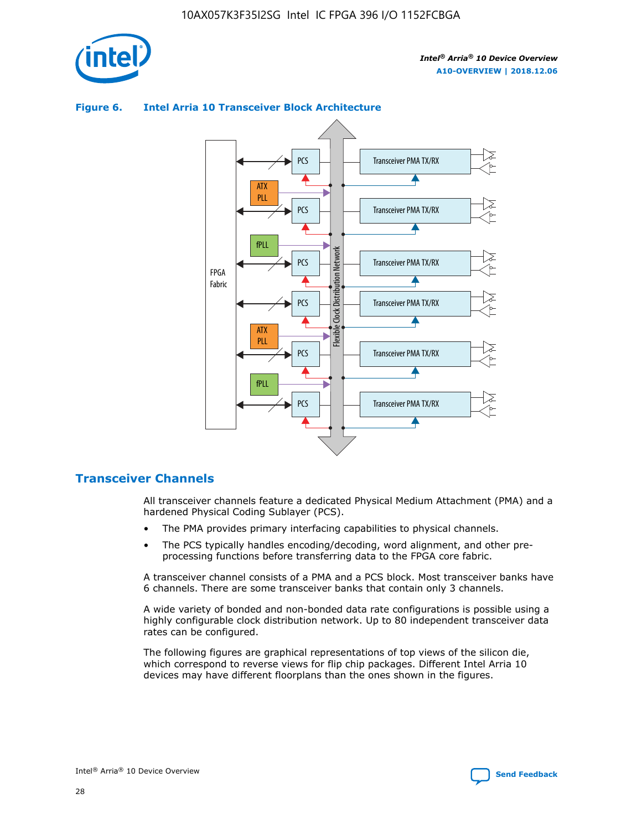



## **Figure 6. Intel Arria 10 Transceiver Block Architecture**

# **Transceiver Channels**

All transceiver channels feature a dedicated Physical Medium Attachment (PMA) and a hardened Physical Coding Sublayer (PCS).

- The PMA provides primary interfacing capabilities to physical channels.
- The PCS typically handles encoding/decoding, word alignment, and other preprocessing functions before transferring data to the FPGA core fabric.

A transceiver channel consists of a PMA and a PCS block. Most transceiver banks have 6 channels. There are some transceiver banks that contain only 3 channels.

A wide variety of bonded and non-bonded data rate configurations is possible using a highly configurable clock distribution network. Up to 80 independent transceiver data rates can be configured.

The following figures are graphical representations of top views of the silicon die, which correspond to reverse views for flip chip packages. Different Intel Arria 10 devices may have different floorplans than the ones shown in the figures.

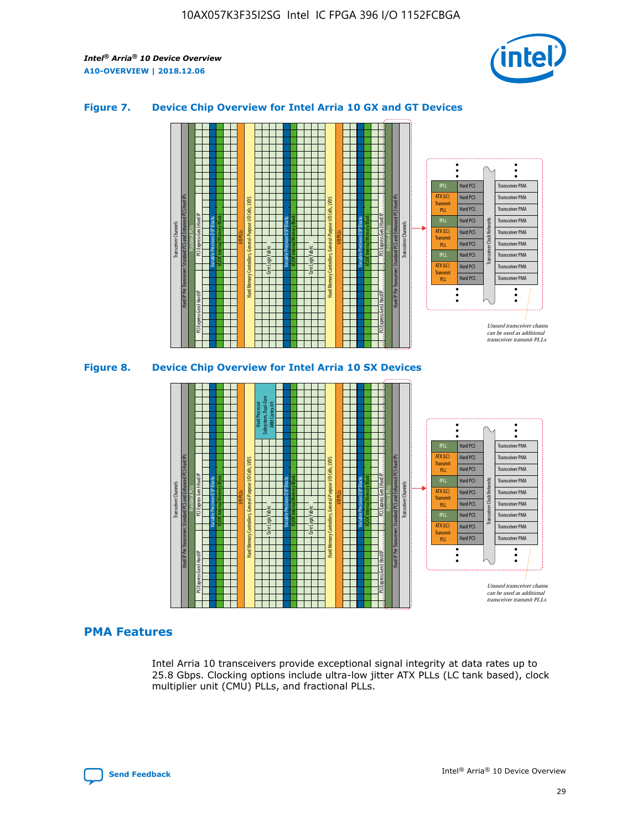

### **Figure 7. Device Chip Overview for Intel Arria 10 GX and GT Devices**





# **PMA Features**

Intel Arria 10 transceivers provide exceptional signal integrity at data rates up to 25.8 Gbps. Clocking options include ultra-low jitter ATX PLLs (LC tank based), clock multiplier unit (CMU) PLLs, and fractional PLLs.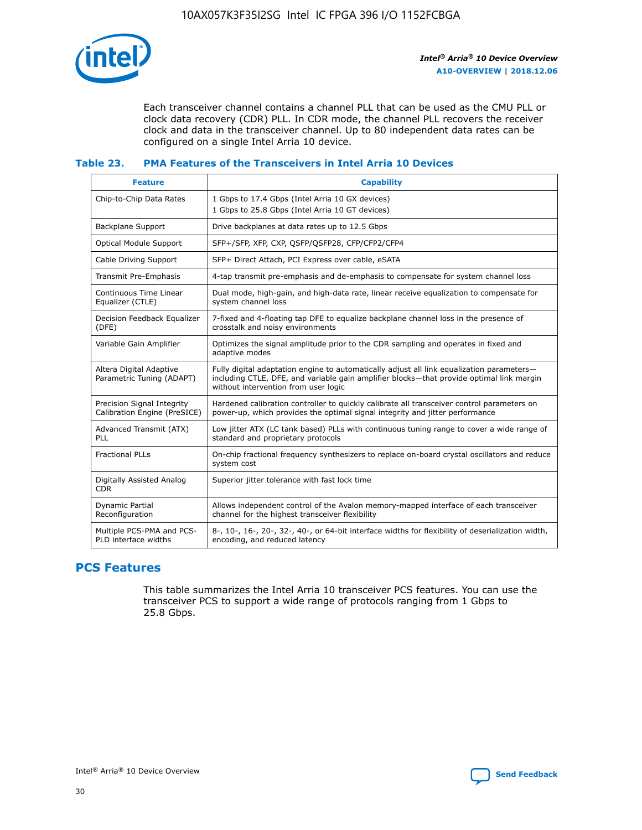

Each transceiver channel contains a channel PLL that can be used as the CMU PLL or clock data recovery (CDR) PLL. In CDR mode, the channel PLL recovers the receiver clock and data in the transceiver channel. Up to 80 independent data rates can be configured on a single Intel Arria 10 device.

### **Table 23. PMA Features of the Transceivers in Intel Arria 10 Devices**

| <b>Feature</b>                                             | <b>Capability</b>                                                                                                                                                                                                             |
|------------------------------------------------------------|-------------------------------------------------------------------------------------------------------------------------------------------------------------------------------------------------------------------------------|
| Chip-to-Chip Data Rates                                    | 1 Gbps to 17.4 Gbps (Intel Arria 10 GX devices)<br>1 Gbps to 25.8 Gbps (Intel Arria 10 GT devices)                                                                                                                            |
| <b>Backplane Support</b>                                   | Drive backplanes at data rates up to 12.5 Gbps                                                                                                                                                                                |
| <b>Optical Module Support</b>                              | SFP+/SFP, XFP, CXP, QSFP/QSFP28, CFP/CFP2/CFP4                                                                                                                                                                                |
| Cable Driving Support                                      | SFP+ Direct Attach, PCI Express over cable, eSATA                                                                                                                                                                             |
| Transmit Pre-Emphasis                                      | 4-tap transmit pre-emphasis and de-emphasis to compensate for system channel loss                                                                                                                                             |
| Continuous Time Linear<br>Equalizer (CTLE)                 | Dual mode, high-gain, and high-data rate, linear receive equalization to compensate for<br>system channel loss                                                                                                                |
| Decision Feedback Equalizer<br>(DFE)                       | 7-fixed and 4-floating tap DFE to equalize backplane channel loss in the presence of<br>crosstalk and noisy environments                                                                                                      |
| Variable Gain Amplifier                                    | Optimizes the signal amplitude prior to the CDR sampling and operates in fixed and<br>adaptive modes                                                                                                                          |
| Altera Digital Adaptive<br>Parametric Tuning (ADAPT)       | Fully digital adaptation engine to automatically adjust all link equalization parameters-<br>including CTLE, DFE, and variable gain amplifier blocks—that provide optimal link margin<br>without intervention from user logic |
| Precision Signal Integrity<br>Calibration Engine (PreSICE) | Hardened calibration controller to quickly calibrate all transceiver control parameters on<br>power-up, which provides the optimal signal integrity and jitter performance                                                    |
| Advanced Transmit (ATX)<br>PLL                             | Low jitter ATX (LC tank based) PLLs with continuous tuning range to cover a wide range of<br>standard and proprietary protocols                                                                                               |
| <b>Fractional PLLs</b>                                     | On-chip fractional frequency synthesizers to replace on-board crystal oscillators and reduce<br>system cost                                                                                                                   |
| Digitally Assisted Analog<br><b>CDR</b>                    | Superior jitter tolerance with fast lock time                                                                                                                                                                                 |
| Dynamic Partial<br>Reconfiguration                         | Allows independent control of the Avalon memory-mapped interface of each transceiver<br>channel for the highest transceiver flexibility                                                                                       |
| Multiple PCS-PMA and PCS-<br>PLD interface widths          | 8-, 10-, 16-, 20-, 32-, 40-, or 64-bit interface widths for flexibility of deserialization width,<br>encoding, and reduced latency                                                                                            |

# **PCS Features**

This table summarizes the Intel Arria 10 transceiver PCS features. You can use the transceiver PCS to support a wide range of protocols ranging from 1 Gbps to 25.8 Gbps.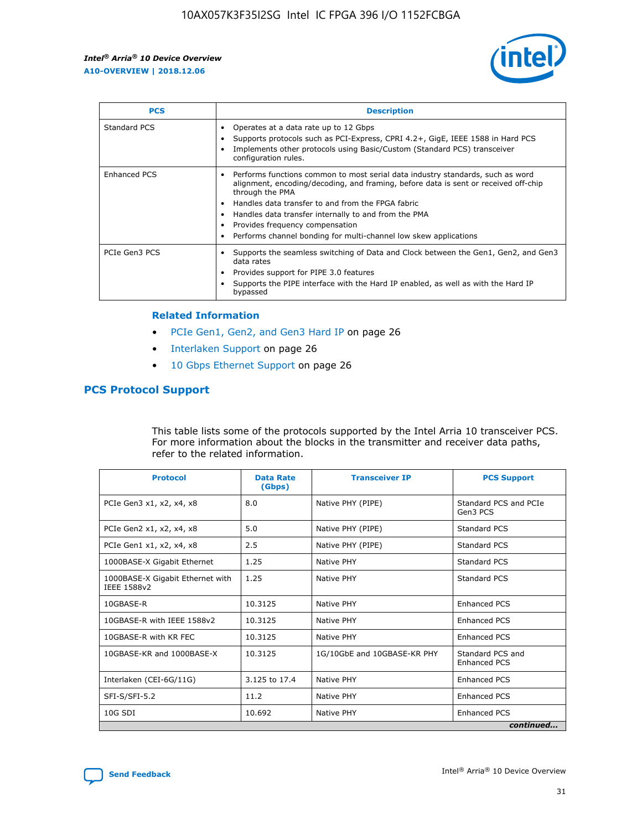

| <b>PCS</b>    | <b>Description</b>                                                                                                                                                                                                                                                                                                                                                                                             |
|---------------|----------------------------------------------------------------------------------------------------------------------------------------------------------------------------------------------------------------------------------------------------------------------------------------------------------------------------------------------------------------------------------------------------------------|
| Standard PCS  | Operates at a data rate up to 12 Gbps<br>Supports protocols such as PCI-Express, CPRI 4.2+, GigE, IEEE 1588 in Hard PCS<br>Implements other protocols using Basic/Custom (Standard PCS) transceiver<br>configuration rules.                                                                                                                                                                                    |
| Enhanced PCS  | Performs functions common to most serial data industry standards, such as word<br>alignment, encoding/decoding, and framing, before data is sent or received off-chip<br>through the PMA<br>• Handles data transfer to and from the FPGA fabric<br>Handles data transfer internally to and from the PMA<br>Provides frequency compensation<br>Performs channel bonding for multi-channel low skew applications |
| PCIe Gen3 PCS | Supports the seamless switching of Data and Clock between the Gen1, Gen2, and Gen3<br>data rates<br>Provides support for PIPE 3.0 features<br>Supports the PIPE interface with the Hard IP enabled, as well as with the Hard IP<br>bypassed                                                                                                                                                                    |

#### **Related Information**

- PCIe Gen1, Gen2, and Gen3 Hard IP on page 26
- Interlaken Support on page 26
- 10 Gbps Ethernet Support on page 26

# **PCS Protocol Support**

This table lists some of the protocols supported by the Intel Arria 10 transceiver PCS. For more information about the blocks in the transmitter and receiver data paths, refer to the related information.

| <b>Protocol</b>                                 | <b>Data Rate</b><br>(Gbps) | <b>Transceiver IP</b>       | <b>PCS Support</b>                      |
|-------------------------------------------------|----------------------------|-----------------------------|-----------------------------------------|
| PCIe Gen3 x1, x2, x4, x8                        | 8.0                        | Native PHY (PIPE)           | Standard PCS and PCIe<br>Gen3 PCS       |
| PCIe Gen2 x1, x2, x4, x8                        | 5.0                        | Native PHY (PIPE)           | <b>Standard PCS</b>                     |
| PCIe Gen1 x1, x2, x4, x8                        | 2.5                        | Native PHY (PIPE)           | Standard PCS                            |
| 1000BASE-X Gigabit Ethernet                     | 1.25                       | Native PHY                  | <b>Standard PCS</b>                     |
| 1000BASE-X Gigabit Ethernet with<br>IEEE 1588v2 | 1.25                       | Native PHY                  | Standard PCS                            |
| 10GBASE-R                                       | 10.3125                    | Native PHY                  | <b>Enhanced PCS</b>                     |
| 10GBASE-R with IEEE 1588v2                      | 10.3125                    | Native PHY                  | <b>Enhanced PCS</b>                     |
| 10GBASE-R with KR FEC                           | 10.3125                    | Native PHY                  | <b>Enhanced PCS</b>                     |
| 10GBASE-KR and 1000BASE-X                       | 10.3125                    | 1G/10GbE and 10GBASE-KR PHY | Standard PCS and<br><b>Enhanced PCS</b> |
| Interlaken (CEI-6G/11G)                         | 3.125 to 17.4              | Native PHY                  | <b>Enhanced PCS</b>                     |
| SFI-S/SFI-5.2                                   | 11.2                       | Native PHY                  | <b>Enhanced PCS</b>                     |
| $10G$ SDI                                       | 10.692                     | Native PHY                  | <b>Enhanced PCS</b>                     |
|                                                 |                            |                             | continued                               |

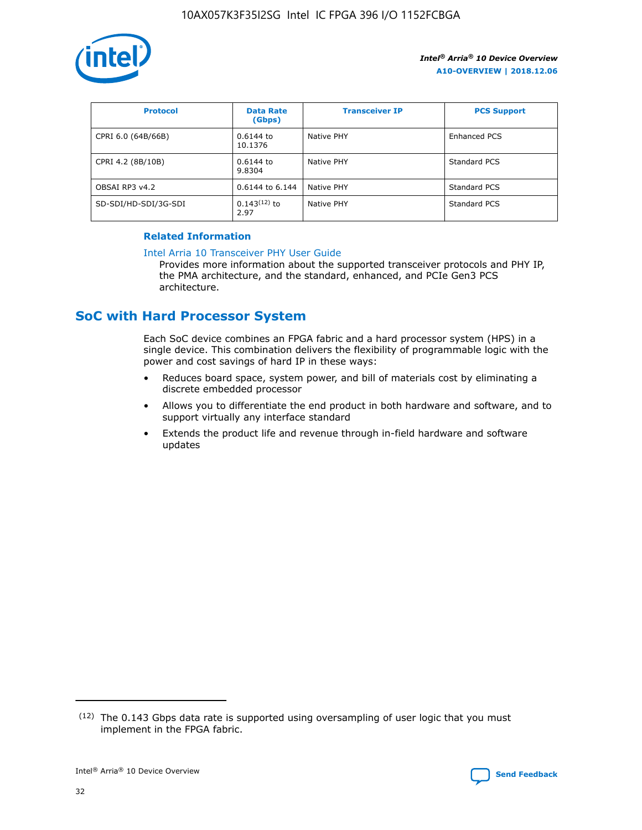

| <b>Protocol</b>      | <b>Data Rate</b><br>(Gbps) | <b>Transceiver IP</b> | <b>PCS Support</b> |
|----------------------|----------------------------|-----------------------|--------------------|
| CPRI 6.0 (64B/66B)   | 0.6144 to<br>10.1376       | Native PHY            | Enhanced PCS       |
| CPRI 4.2 (8B/10B)    | 0.6144 to<br>9.8304        | Native PHY            | Standard PCS       |
| OBSAI RP3 v4.2       | 0.6144 to 6.144            | Native PHY            | Standard PCS       |
| SD-SDI/HD-SDI/3G-SDI | $0.143(12)$ to<br>2.97     | Native PHY            | Standard PCS       |

## **Related Information**

#### [Intel Arria 10 Transceiver PHY User Guide](https://www.intel.com/content/www/us/en/programmable/documentation/nik1398707230472.html#nik1398707091164)

Provides more information about the supported transceiver protocols and PHY IP, the PMA architecture, and the standard, enhanced, and PCIe Gen3 PCS architecture.

# **SoC with Hard Processor System**

Each SoC device combines an FPGA fabric and a hard processor system (HPS) in a single device. This combination delivers the flexibility of programmable logic with the power and cost savings of hard IP in these ways:

- Reduces board space, system power, and bill of materials cost by eliminating a discrete embedded processor
- Allows you to differentiate the end product in both hardware and software, and to support virtually any interface standard
- Extends the product life and revenue through in-field hardware and software updates

 $(12)$  The 0.143 Gbps data rate is supported using oversampling of user logic that you must implement in the FPGA fabric.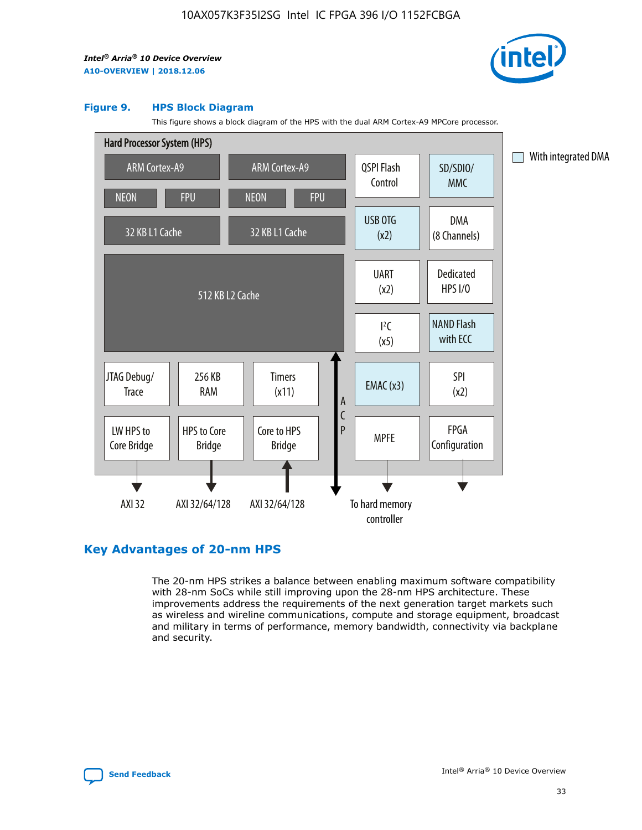

#### **Figure 9. HPS Block Diagram**

This figure shows a block diagram of the HPS with the dual ARM Cortex-A9 MPCore processor.



# **Key Advantages of 20-nm HPS**

The 20-nm HPS strikes a balance between enabling maximum software compatibility with 28-nm SoCs while still improving upon the 28-nm HPS architecture. These improvements address the requirements of the next generation target markets such as wireless and wireline communications, compute and storage equipment, broadcast and military in terms of performance, memory bandwidth, connectivity via backplane and security.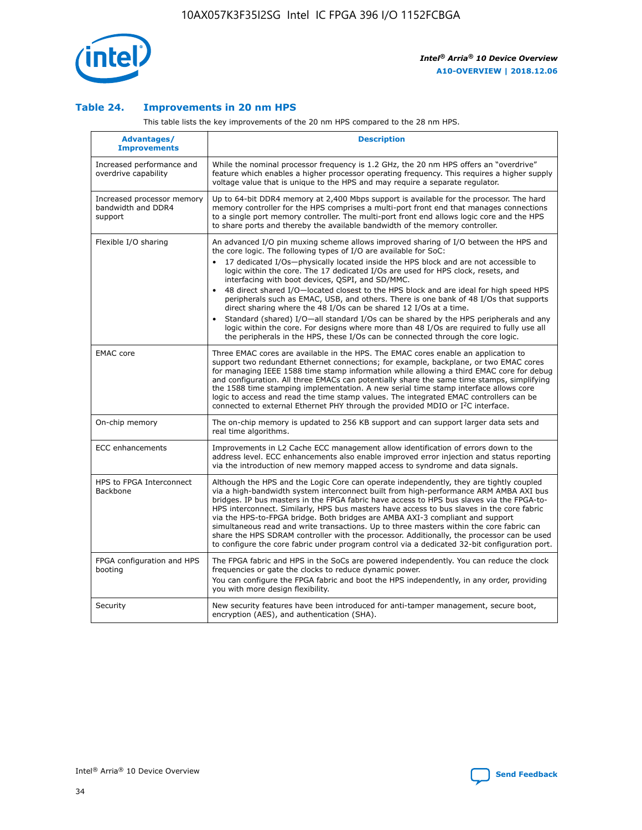

## **Table 24. Improvements in 20 nm HPS**

This table lists the key improvements of the 20 nm HPS compared to the 28 nm HPS.

| Advantages/<br><b>Improvements</b>                          | <b>Description</b>                                                                                                                                                                                                                                                                                                                                                                                                                                                                                                                                                                                                                                                                                                                                                                                                                                                                                                      |
|-------------------------------------------------------------|-------------------------------------------------------------------------------------------------------------------------------------------------------------------------------------------------------------------------------------------------------------------------------------------------------------------------------------------------------------------------------------------------------------------------------------------------------------------------------------------------------------------------------------------------------------------------------------------------------------------------------------------------------------------------------------------------------------------------------------------------------------------------------------------------------------------------------------------------------------------------------------------------------------------------|
| Increased performance and<br>overdrive capability           | While the nominal processor frequency is 1.2 GHz, the 20 nm HPS offers an "overdrive"<br>feature which enables a higher processor operating frequency. This requires a higher supply<br>voltage value that is unique to the HPS and may require a separate regulator.                                                                                                                                                                                                                                                                                                                                                                                                                                                                                                                                                                                                                                                   |
| Increased processor memory<br>bandwidth and DDR4<br>support | Up to 64-bit DDR4 memory at 2,400 Mbps support is available for the processor. The hard<br>memory controller for the HPS comprises a multi-port front end that manages connections<br>to a single port memory controller. The multi-port front end allows logic core and the HPS<br>to share ports and thereby the available bandwidth of the memory controller.                                                                                                                                                                                                                                                                                                                                                                                                                                                                                                                                                        |
| Flexible I/O sharing                                        | An advanced I/O pin muxing scheme allows improved sharing of I/O between the HPS and<br>the core logic. The following types of I/O are available for SoC:<br>17 dedicated I/Os-physically located inside the HPS block and are not accessible to<br>logic within the core. The 17 dedicated I/Os are used for HPS clock, resets, and<br>interfacing with boot devices, QSPI, and SD/MMC.<br>48 direct shared I/O-located closest to the HPS block and are ideal for high speed HPS<br>peripherals such as EMAC, USB, and others. There is one bank of 48 I/Os that supports<br>direct sharing where the 48 I/Os can be shared 12 I/Os at a time.<br>Standard (shared) I/O-all standard I/Os can be shared by the HPS peripherals and any<br>logic within the core. For designs where more than 48 I/Os are reguired to fully use all<br>the peripherals in the HPS, these I/Os can be connected through the core logic. |
| <b>EMAC</b> core                                            | Three EMAC cores are available in the HPS. The EMAC cores enable an application to<br>support two redundant Ethernet connections; for example, backplane, or two EMAC cores<br>for managing IEEE 1588 time stamp information while allowing a third EMAC core for debug<br>and configuration. All three EMACs can potentially share the same time stamps, simplifying<br>the 1588 time stamping implementation. A new serial time stamp interface allows core<br>logic to access and read the time stamp values. The integrated EMAC controllers can be<br>connected to external Ethernet PHY through the provided MDIO or I <sup>2</sup> C interface.                                                                                                                                                                                                                                                                  |
| On-chip memory                                              | The on-chip memory is updated to 256 KB support and can support larger data sets and<br>real time algorithms.                                                                                                                                                                                                                                                                                                                                                                                                                                                                                                                                                                                                                                                                                                                                                                                                           |
| <b>ECC</b> enhancements                                     | Improvements in L2 Cache ECC management allow identification of errors down to the<br>address level. ECC enhancements also enable improved error injection and status reporting<br>via the introduction of new memory mapped access to syndrome and data signals.                                                                                                                                                                                                                                                                                                                                                                                                                                                                                                                                                                                                                                                       |
| HPS to FPGA Interconnect<br>Backbone                        | Although the HPS and the Logic Core can operate independently, they are tightly coupled<br>via a high-bandwidth system interconnect built from high-performance ARM AMBA AXI bus<br>bridges. IP bus masters in the FPGA fabric have access to HPS bus slaves via the FPGA-to-<br>HPS interconnect. Similarly, HPS bus masters have access to bus slaves in the core fabric<br>via the HPS-to-FPGA bridge. Both bridges are AMBA AXI-3 compliant and support<br>simultaneous read and write transactions. Up to three masters within the core fabric can<br>share the HPS SDRAM controller with the processor. Additionally, the processor can be used<br>to configure the core fabric under program control via a dedicated 32-bit configuration port.                                                                                                                                                                  |
| FPGA configuration and HPS<br>booting                       | The FPGA fabric and HPS in the SoCs are powered independently. You can reduce the clock<br>frequencies or gate the clocks to reduce dynamic power.<br>You can configure the FPGA fabric and boot the HPS independently, in any order, providing<br>you with more design flexibility.                                                                                                                                                                                                                                                                                                                                                                                                                                                                                                                                                                                                                                    |
| Security                                                    | New security features have been introduced for anti-tamper management, secure boot,<br>encryption (AES), and authentication (SHA).                                                                                                                                                                                                                                                                                                                                                                                                                                                                                                                                                                                                                                                                                                                                                                                      |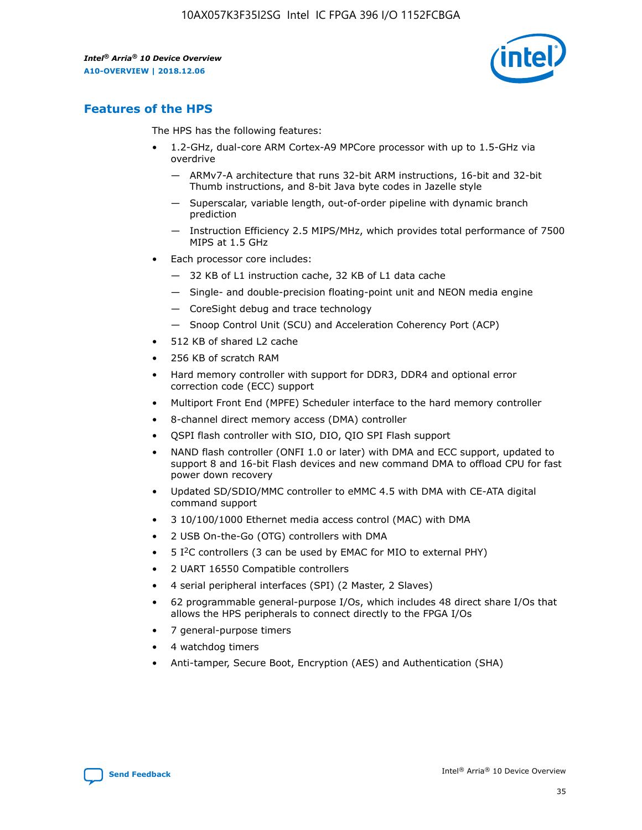

# **Features of the HPS**

The HPS has the following features:

- 1.2-GHz, dual-core ARM Cortex-A9 MPCore processor with up to 1.5-GHz via overdrive
	- ARMv7-A architecture that runs 32-bit ARM instructions, 16-bit and 32-bit Thumb instructions, and 8-bit Java byte codes in Jazelle style
	- Superscalar, variable length, out-of-order pipeline with dynamic branch prediction
	- Instruction Efficiency 2.5 MIPS/MHz, which provides total performance of 7500 MIPS at 1.5 GHz
- Each processor core includes:
	- 32 KB of L1 instruction cache, 32 KB of L1 data cache
	- Single- and double-precision floating-point unit and NEON media engine
	- CoreSight debug and trace technology
	- Snoop Control Unit (SCU) and Acceleration Coherency Port (ACP)
- 512 KB of shared L2 cache
- 256 KB of scratch RAM
- Hard memory controller with support for DDR3, DDR4 and optional error correction code (ECC) support
- Multiport Front End (MPFE) Scheduler interface to the hard memory controller
- 8-channel direct memory access (DMA) controller
- QSPI flash controller with SIO, DIO, QIO SPI Flash support
- NAND flash controller (ONFI 1.0 or later) with DMA and ECC support, updated to support 8 and 16-bit Flash devices and new command DMA to offload CPU for fast power down recovery
- Updated SD/SDIO/MMC controller to eMMC 4.5 with DMA with CE-ATA digital command support
- 3 10/100/1000 Ethernet media access control (MAC) with DMA
- 2 USB On-the-Go (OTG) controllers with DMA
- $\bullet$  5 I<sup>2</sup>C controllers (3 can be used by EMAC for MIO to external PHY)
- 2 UART 16550 Compatible controllers
- 4 serial peripheral interfaces (SPI) (2 Master, 2 Slaves)
- 62 programmable general-purpose I/Os, which includes 48 direct share I/Os that allows the HPS peripherals to connect directly to the FPGA I/Os
- 7 general-purpose timers
- 4 watchdog timers
- Anti-tamper, Secure Boot, Encryption (AES) and Authentication (SHA)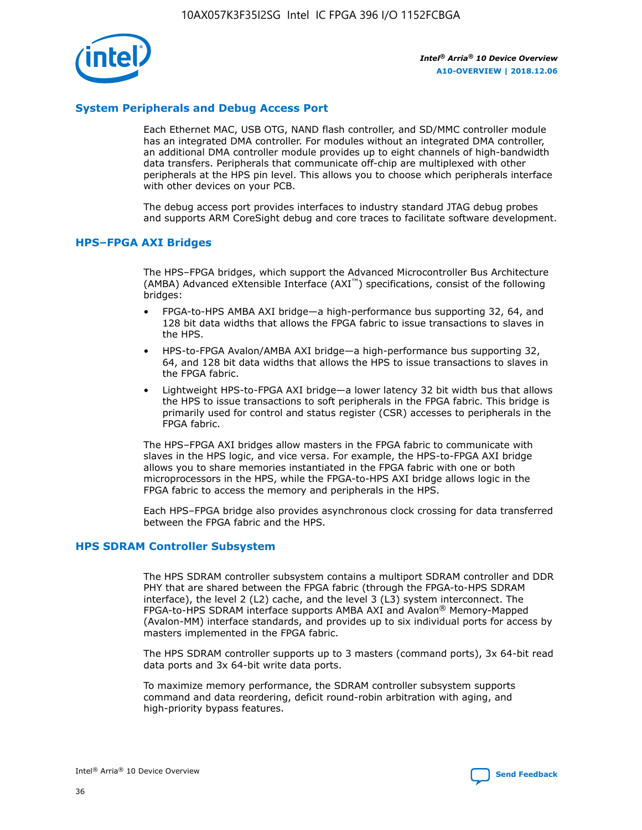

# **System Peripherals and Debug Access Port**

Each Ethernet MAC, USB OTG, NAND flash controller, and SD/MMC controller module has an integrated DMA controller. For modules without an integrated DMA controller, an additional DMA controller module provides up to eight channels of high-bandwidth data transfers. Peripherals that communicate off-chip are multiplexed with other peripherals at the HPS pin level. This allows you to choose which peripherals interface with other devices on your PCB.

The debug access port provides interfaces to industry standard JTAG debug probes and supports ARM CoreSight debug and core traces to facilitate software development.

## **HPS–FPGA AXI Bridges**

The HPS–FPGA bridges, which support the Advanced Microcontroller Bus Architecture (AMBA) Advanced eXtensible Interface (AXI™) specifications, consist of the following bridges:

- FPGA-to-HPS AMBA AXI bridge—a high-performance bus supporting 32, 64, and 128 bit data widths that allows the FPGA fabric to issue transactions to slaves in the HPS.
- HPS-to-FPGA Avalon/AMBA AXI bridge—a high-performance bus supporting 32, 64, and 128 bit data widths that allows the HPS to issue transactions to slaves in the FPGA fabric.
- Lightweight HPS-to-FPGA AXI bridge—a lower latency 32 bit width bus that allows the HPS to issue transactions to soft peripherals in the FPGA fabric. This bridge is primarily used for control and status register (CSR) accesses to peripherals in the FPGA fabric.

The HPS–FPGA AXI bridges allow masters in the FPGA fabric to communicate with slaves in the HPS logic, and vice versa. For example, the HPS-to-FPGA AXI bridge allows you to share memories instantiated in the FPGA fabric with one or both microprocessors in the HPS, while the FPGA-to-HPS AXI bridge allows logic in the FPGA fabric to access the memory and peripherals in the HPS.

Each HPS–FPGA bridge also provides asynchronous clock crossing for data transferred between the FPGA fabric and the HPS.

#### **HPS SDRAM Controller Subsystem**

The HPS SDRAM controller subsystem contains a multiport SDRAM controller and DDR PHY that are shared between the FPGA fabric (through the FPGA-to-HPS SDRAM interface), the level 2 (L2) cache, and the level 3 (L3) system interconnect. The FPGA-to-HPS SDRAM interface supports AMBA AXI and Avalon® Memory-Mapped (Avalon-MM) interface standards, and provides up to six individual ports for access by masters implemented in the FPGA fabric.

The HPS SDRAM controller supports up to 3 masters (command ports), 3x 64-bit read data ports and 3x 64-bit write data ports.

To maximize memory performance, the SDRAM controller subsystem supports command and data reordering, deficit round-robin arbitration with aging, and high-priority bypass features.

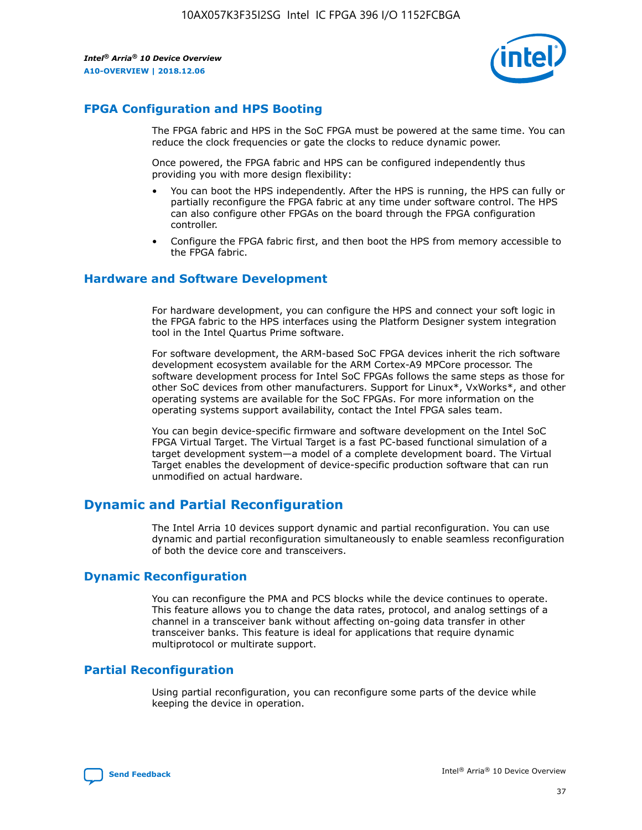

# **FPGA Configuration and HPS Booting**

The FPGA fabric and HPS in the SoC FPGA must be powered at the same time. You can reduce the clock frequencies or gate the clocks to reduce dynamic power.

Once powered, the FPGA fabric and HPS can be configured independently thus providing you with more design flexibility:

- You can boot the HPS independently. After the HPS is running, the HPS can fully or partially reconfigure the FPGA fabric at any time under software control. The HPS can also configure other FPGAs on the board through the FPGA configuration controller.
- Configure the FPGA fabric first, and then boot the HPS from memory accessible to the FPGA fabric.

## **Hardware and Software Development**

For hardware development, you can configure the HPS and connect your soft logic in the FPGA fabric to the HPS interfaces using the Platform Designer system integration tool in the Intel Quartus Prime software.

For software development, the ARM-based SoC FPGA devices inherit the rich software development ecosystem available for the ARM Cortex-A9 MPCore processor. The software development process for Intel SoC FPGAs follows the same steps as those for other SoC devices from other manufacturers. Support for Linux\*, VxWorks\*, and other operating systems are available for the SoC FPGAs. For more information on the operating systems support availability, contact the Intel FPGA sales team.

You can begin device-specific firmware and software development on the Intel SoC FPGA Virtual Target. The Virtual Target is a fast PC-based functional simulation of a target development system—a model of a complete development board. The Virtual Target enables the development of device-specific production software that can run unmodified on actual hardware.

# **Dynamic and Partial Reconfiguration**

The Intel Arria 10 devices support dynamic and partial reconfiguration. You can use dynamic and partial reconfiguration simultaneously to enable seamless reconfiguration of both the device core and transceivers.

# **Dynamic Reconfiguration**

You can reconfigure the PMA and PCS blocks while the device continues to operate. This feature allows you to change the data rates, protocol, and analog settings of a channel in a transceiver bank without affecting on-going data transfer in other transceiver banks. This feature is ideal for applications that require dynamic multiprotocol or multirate support.

# **Partial Reconfiguration**

Using partial reconfiguration, you can reconfigure some parts of the device while keeping the device in operation.

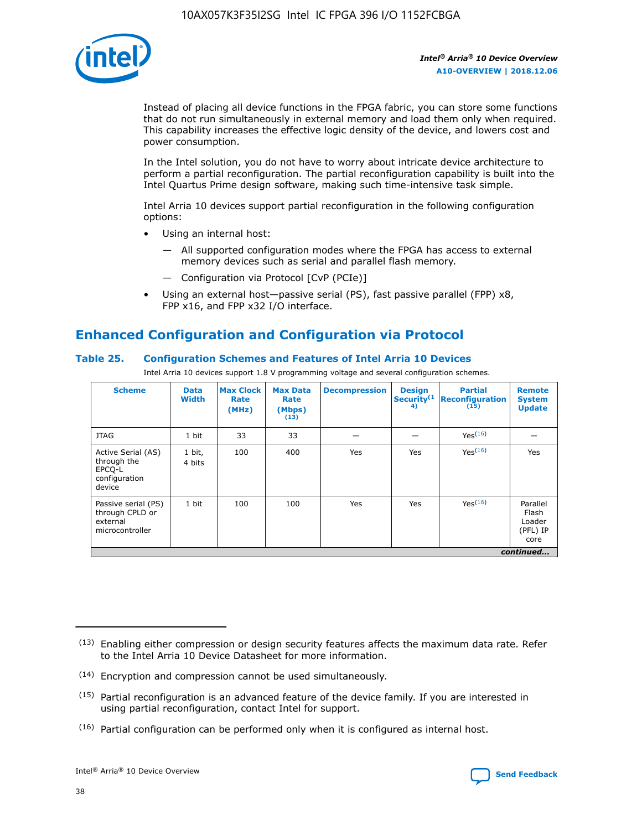

Instead of placing all device functions in the FPGA fabric, you can store some functions that do not run simultaneously in external memory and load them only when required. This capability increases the effective logic density of the device, and lowers cost and power consumption.

In the Intel solution, you do not have to worry about intricate device architecture to perform a partial reconfiguration. The partial reconfiguration capability is built into the Intel Quartus Prime design software, making such time-intensive task simple.

Intel Arria 10 devices support partial reconfiguration in the following configuration options:

- Using an internal host:
	- All supported configuration modes where the FPGA has access to external memory devices such as serial and parallel flash memory.
	- Configuration via Protocol [CvP (PCIe)]
- Using an external host—passive serial (PS), fast passive parallel (FPP) x8, FPP x16, and FPP x32 I/O interface.

# **Enhanced Configuration and Configuration via Protocol**

# **Table 25. Configuration Schemes and Features of Intel Arria 10 Devices**

Intel Arria 10 devices support 1.8 V programming voltage and several configuration schemes.

| <b>Scheme</b>                                                          | <b>Data</b><br><b>Width</b> | <b>Max Clock</b><br>Rate<br>(MHz) | <b>Max Data</b><br>Rate<br>(Mbps)<br>(13) | <b>Decompression</b> | <b>Design</b><br>Security <sup>(1</sup><br>4) | <b>Partial</b><br><b>Reconfiguration</b><br>(15) | <b>Remote</b><br><b>System</b><br><b>Update</b> |
|------------------------------------------------------------------------|-----------------------------|-----------------------------------|-------------------------------------------|----------------------|-----------------------------------------------|--------------------------------------------------|-------------------------------------------------|
| <b>JTAG</b>                                                            | 1 bit                       | 33                                | 33                                        |                      |                                               | Yes(16)                                          |                                                 |
| Active Serial (AS)<br>through the<br>EPCO-L<br>configuration<br>device | 1 bit,<br>4 bits            | 100                               | 400                                       | Yes                  | Yes                                           | $Y_{PS}(16)$                                     | Yes                                             |
| Passive serial (PS)<br>through CPLD or<br>external<br>microcontroller  | 1 bit                       | 100                               | 100                                       | Yes                  | Yes                                           | Yes(16)                                          | Parallel<br>Flash<br>Loader<br>(PFL) IP<br>core |
|                                                                        |                             |                                   |                                           |                      |                                               |                                                  | continued                                       |

<sup>(13)</sup> Enabling either compression or design security features affects the maximum data rate. Refer to the Intel Arria 10 Device Datasheet for more information.

<sup>(14)</sup> Encryption and compression cannot be used simultaneously.

 $(15)$  Partial reconfiguration is an advanced feature of the device family. If you are interested in using partial reconfiguration, contact Intel for support.

 $(16)$  Partial configuration can be performed only when it is configured as internal host.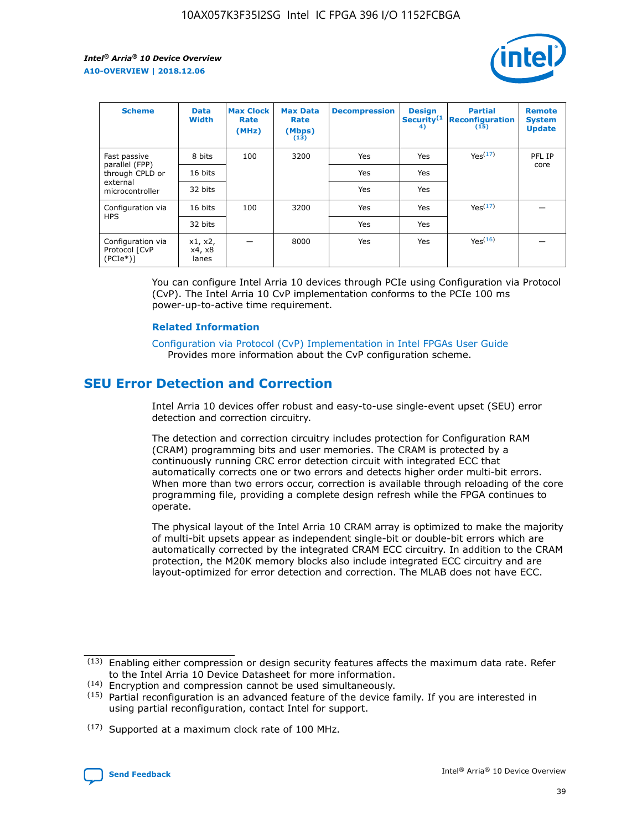

| <b>Scheme</b>                                   | <b>Data</b><br><b>Width</b> | <b>Max Clock</b><br>Rate<br>(MHz) | <b>Max Data</b><br>Rate<br>(Mbps)<br>(13) | <b>Decompression</b> | <b>Design</b><br>Security <sup>(1</sup><br>4) | <b>Partial</b><br><b>Reconfiguration</b><br>(15) | <b>Remote</b><br><b>System</b><br><b>Update</b> |
|-------------------------------------------------|-----------------------------|-----------------------------------|-------------------------------------------|----------------------|-----------------------------------------------|--------------------------------------------------|-------------------------------------------------|
| Fast passive                                    | 8 bits                      | 100                               | 3200                                      | Yes                  | Yes                                           | Yes(17)                                          | PFL IP                                          |
| parallel (FPP)<br>through CPLD or               | 16 bits                     |                                   |                                           | Yes                  | Yes                                           |                                                  | core                                            |
| external<br>microcontroller                     | 32 bits                     |                                   |                                           | Yes                  | Yes                                           |                                                  |                                                 |
| Configuration via                               | 16 bits                     | 100                               | 3200                                      | Yes                  | Yes                                           | Yes <sup>(17)</sup>                              |                                                 |
| <b>HPS</b>                                      | 32 bits                     |                                   |                                           | Yes                  | Yes                                           |                                                  |                                                 |
| Configuration via<br>Protocol [CvP<br>$(PCIe*)$ | x1, x2,<br>x4, x8<br>lanes  |                                   | 8000                                      | Yes                  | Yes                                           | Yes <sup>(16)</sup>                              |                                                 |

You can configure Intel Arria 10 devices through PCIe using Configuration via Protocol (CvP). The Intel Arria 10 CvP implementation conforms to the PCIe 100 ms power-up-to-active time requirement.

#### **Related Information**

[Configuration via Protocol \(CvP\) Implementation in Intel FPGAs User Guide](https://www.intel.com/content/www/us/en/programmable/documentation/dsu1441819344145.html#dsu1442269728522) Provides more information about the CvP configuration scheme.

# **SEU Error Detection and Correction**

Intel Arria 10 devices offer robust and easy-to-use single-event upset (SEU) error detection and correction circuitry.

The detection and correction circuitry includes protection for Configuration RAM (CRAM) programming bits and user memories. The CRAM is protected by a continuously running CRC error detection circuit with integrated ECC that automatically corrects one or two errors and detects higher order multi-bit errors. When more than two errors occur, correction is available through reloading of the core programming file, providing a complete design refresh while the FPGA continues to operate.

The physical layout of the Intel Arria 10 CRAM array is optimized to make the majority of multi-bit upsets appear as independent single-bit or double-bit errors which are automatically corrected by the integrated CRAM ECC circuitry. In addition to the CRAM protection, the M20K memory blocks also include integrated ECC circuitry and are layout-optimized for error detection and correction. The MLAB does not have ECC.

(14) Encryption and compression cannot be used simultaneously.

<sup>(17)</sup> Supported at a maximum clock rate of 100 MHz.



 $(13)$  Enabling either compression or design security features affects the maximum data rate. Refer to the Intel Arria 10 Device Datasheet for more information.

 $(15)$  Partial reconfiguration is an advanced feature of the device family. If you are interested in using partial reconfiguration, contact Intel for support.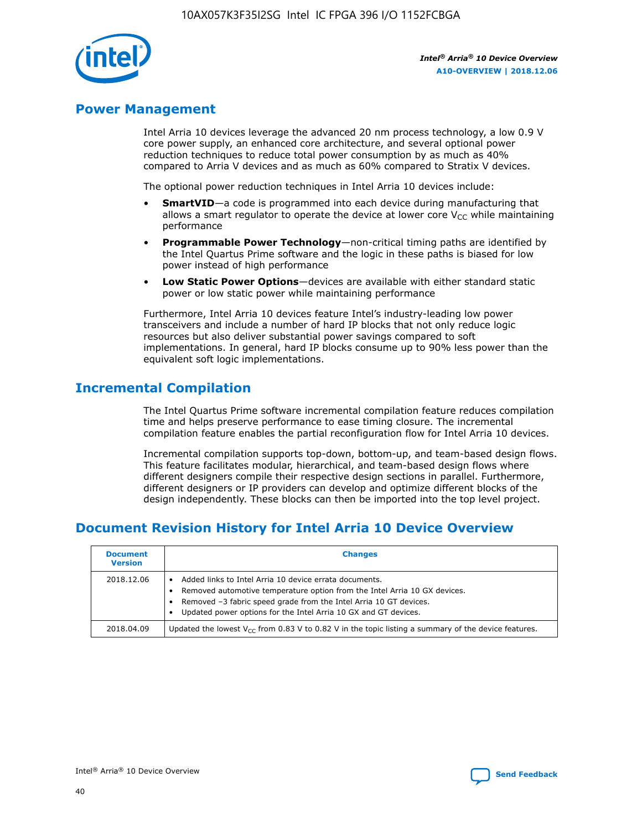

# **Power Management**

Intel Arria 10 devices leverage the advanced 20 nm process technology, a low 0.9 V core power supply, an enhanced core architecture, and several optional power reduction techniques to reduce total power consumption by as much as 40% compared to Arria V devices and as much as 60% compared to Stratix V devices.

The optional power reduction techniques in Intel Arria 10 devices include:

- **SmartVID**—a code is programmed into each device during manufacturing that allows a smart regulator to operate the device at lower core  $V_{CC}$  while maintaining performance
- **Programmable Power Technology**—non-critical timing paths are identified by the Intel Quartus Prime software and the logic in these paths is biased for low power instead of high performance
- **Low Static Power Options**—devices are available with either standard static power or low static power while maintaining performance

Furthermore, Intel Arria 10 devices feature Intel's industry-leading low power transceivers and include a number of hard IP blocks that not only reduce logic resources but also deliver substantial power savings compared to soft implementations. In general, hard IP blocks consume up to 90% less power than the equivalent soft logic implementations.

# **Incremental Compilation**

The Intel Quartus Prime software incremental compilation feature reduces compilation time and helps preserve performance to ease timing closure. The incremental compilation feature enables the partial reconfiguration flow for Intel Arria 10 devices.

Incremental compilation supports top-down, bottom-up, and team-based design flows. This feature facilitates modular, hierarchical, and team-based design flows where different designers compile their respective design sections in parallel. Furthermore, different designers or IP providers can develop and optimize different blocks of the design independently. These blocks can then be imported into the top level project.

# **Document Revision History for Intel Arria 10 Device Overview**

| <b>Document</b><br><b>Version</b> | <b>Changes</b>                                                                                                                                                                                                                                                              |
|-----------------------------------|-----------------------------------------------------------------------------------------------------------------------------------------------------------------------------------------------------------------------------------------------------------------------------|
| 2018.12.06                        | Added links to Intel Arria 10 device errata documents.<br>Removed automotive temperature option from the Intel Arria 10 GX devices.<br>Removed -3 fabric speed grade from the Intel Arria 10 GT devices.<br>Updated power options for the Intel Arria 10 GX and GT devices. |
| 2018.04.09                        | Updated the lowest $V_{CC}$ from 0.83 V to 0.82 V in the topic listing a summary of the device features.                                                                                                                                                                    |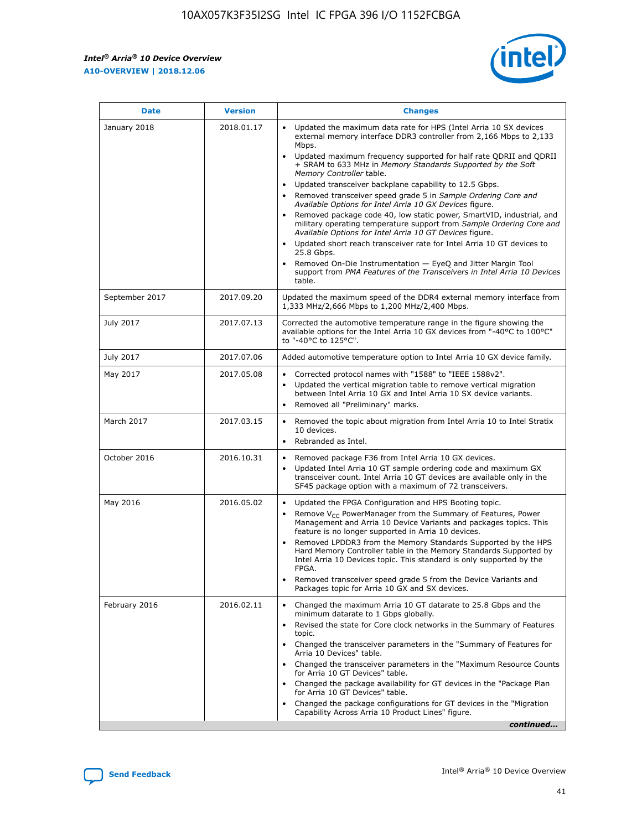*Intel® Arria® 10 Device Overview* **A10-OVERVIEW | 2018.12.06**



| <b>Date</b>    | <b>Version</b> | <b>Changes</b>                                                                                                                                                                                                                                                                                                                                                                                                                                                                                                                                                                                                                                                                                                                                                                                                                                                                                                                                                            |
|----------------|----------------|---------------------------------------------------------------------------------------------------------------------------------------------------------------------------------------------------------------------------------------------------------------------------------------------------------------------------------------------------------------------------------------------------------------------------------------------------------------------------------------------------------------------------------------------------------------------------------------------------------------------------------------------------------------------------------------------------------------------------------------------------------------------------------------------------------------------------------------------------------------------------------------------------------------------------------------------------------------------------|
| January 2018   | 2018.01.17     | Updated the maximum data rate for HPS (Intel Arria 10 SX devices<br>external memory interface DDR3 controller from 2,166 Mbps to 2,133<br>Mbps.<br>Updated maximum frequency supported for half rate QDRII and QDRII<br>+ SRAM to 633 MHz in Memory Standards Supported by the Soft<br>Memory Controller table.<br>Updated transceiver backplane capability to 12.5 Gbps.<br>$\bullet$<br>Removed transceiver speed grade 5 in Sample Ordering Core and<br>Available Options for Intel Arria 10 GX Devices figure.<br>Removed package code 40, low static power, SmartVID, industrial, and<br>military operating temperature support from Sample Ordering Core and<br>Available Options for Intel Arria 10 GT Devices figure.<br>Updated short reach transceiver rate for Intel Arria 10 GT devices to<br>25.8 Gbps.<br>Removed On-Die Instrumentation - EyeQ and Jitter Margin Tool<br>support from PMA Features of the Transceivers in Intel Arria 10 Devices<br>table. |
| September 2017 | 2017.09.20     | Updated the maximum speed of the DDR4 external memory interface from<br>1,333 MHz/2,666 Mbps to 1,200 MHz/2,400 Mbps.                                                                                                                                                                                                                                                                                                                                                                                                                                                                                                                                                                                                                                                                                                                                                                                                                                                     |
| July 2017      | 2017.07.13     | Corrected the automotive temperature range in the figure showing the<br>available options for the Intel Arria 10 GX devices from "-40°C to 100°C"<br>to "-40°C to 125°C".                                                                                                                                                                                                                                                                                                                                                                                                                                                                                                                                                                                                                                                                                                                                                                                                 |
| July 2017      | 2017.07.06     | Added automotive temperature option to Intel Arria 10 GX device family.                                                                                                                                                                                                                                                                                                                                                                                                                                                                                                                                                                                                                                                                                                                                                                                                                                                                                                   |
| May 2017       | 2017.05.08     | Corrected protocol names with "1588" to "IEEE 1588v2".<br>Updated the vertical migration table to remove vertical migration<br>between Intel Arria 10 GX and Intel Arria 10 SX device variants.<br>Removed all "Preliminary" marks.                                                                                                                                                                                                                                                                                                                                                                                                                                                                                                                                                                                                                                                                                                                                       |
| March 2017     | 2017.03.15     | Removed the topic about migration from Intel Arria 10 to Intel Stratix<br>10 devices.<br>Rebranded as Intel.<br>$\bullet$                                                                                                                                                                                                                                                                                                                                                                                                                                                                                                                                                                                                                                                                                                                                                                                                                                                 |
| October 2016   | 2016.10.31     | Removed package F36 from Intel Arria 10 GX devices.<br>Updated Intel Arria 10 GT sample ordering code and maximum GX<br>$\bullet$<br>transceiver count. Intel Arria 10 GT devices are available only in the<br>SF45 package option with a maximum of 72 transceivers.                                                                                                                                                                                                                                                                                                                                                                                                                                                                                                                                                                                                                                                                                                     |
| May 2016       | 2016.05.02     | Updated the FPGA Configuration and HPS Booting topic.<br>Remove V <sub>CC</sub> PowerManager from the Summary of Features, Power<br>Management and Arria 10 Device Variants and packages topics. This<br>feature is no longer supported in Arria 10 devices.<br>Removed LPDDR3 from the Memory Standards Supported by the HPS<br>Hard Memory Controller table in the Memory Standards Supported by<br>Intel Arria 10 Devices topic. This standard is only supported by the<br>FPGA.<br>Removed transceiver speed grade 5 from the Device Variants and<br>Packages topic for Arria 10 GX and SX devices.                                                                                                                                                                                                                                                                                                                                                                   |
| February 2016  | 2016.02.11     | Changed the maximum Arria 10 GT datarate to 25.8 Gbps and the<br>minimum datarate to 1 Gbps globally.<br>Revised the state for Core clock networks in the Summary of Features<br>$\bullet$<br>topic.<br>Changed the transceiver parameters in the "Summary of Features for<br>Arria 10 Devices" table.<br>• Changed the transceiver parameters in the "Maximum Resource Counts<br>for Arria 10 GT Devices" table.<br>• Changed the package availability for GT devices in the "Package Plan<br>for Arria 10 GT Devices" table.<br>Changed the package configurations for GT devices in the "Migration"<br>Capability Across Arria 10 Product Lines" figure.<br>continued                                                                                                                                                                                                                                                                                                  |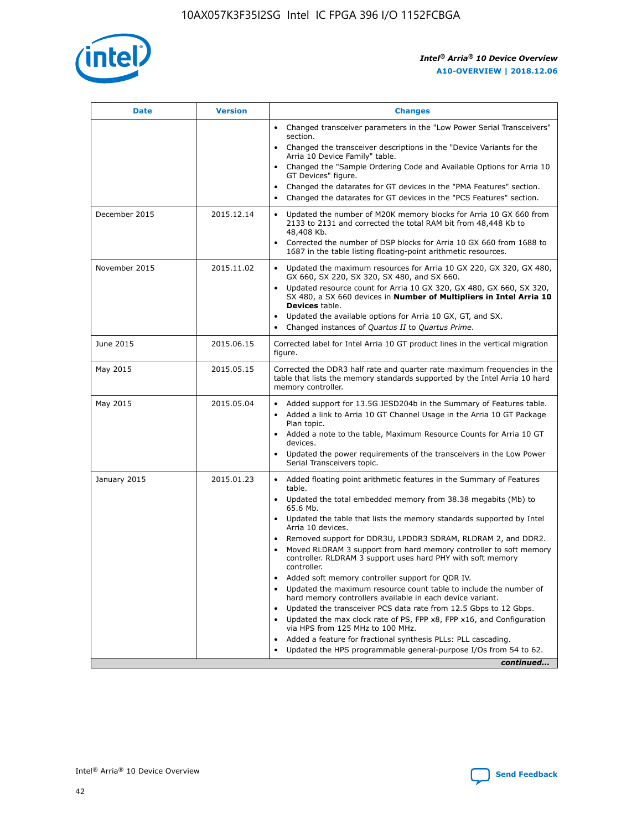

| <b>Date</b>   | <b>Version</b> | <b>Changes</b>                                                                                                                                                               |
|---------------|----------------|------------------------------------------------------------------------------------------------------------------------------------------------------------------------------|
|               |                | Changed transceiver parameters in the "Low Power Serial Transceivers"<br>$\bullet$<br>section.                                                                               |
|               |                | • Changed the transceiver descriptions in the "Device Variants for the<br>Arria 10 Device Family" table.                                                                     |
|               |                | • Changed the "Sample Ordering Code and Available Options for Arria 10<br>GT Devices" figure.                                                                                |
|               |                | Changed the datarates for GT devices in the "PMA Features" section.                                                                                                          |
|               |                | Changed the datarates for GT devices in the "PCS Features" section.<br>$\bullet$                                                                                             |
| December 2015 | 2015.12.14     | Updated the number of M20K memory blocks for Arria 10 GX 660 from<br>2133 to 2131 and corrected the total RAM bit from 48,448 Kb to<br>48,408 Kb.                            |
|               |                | Corrected the number of DSP blocks for Arria 10 GX 660 from 1688 to<br>$\bullet$<br>1687 in the table listing floating-point arithmetic resources.                           |
| November 2015 | 2015.11.02     | Updated the maximum resources for Arria 10 GX 220, GX 320, GX 480,<br>GX 660, SX 220, SX 320, SX 480, and SX 660.                                                            |
|               |                | Updated resource count for Arria 10 GX 320, GX 480, GX 660, SX 320,<br>SX 480, a SX 660 devices in Number of Multipliers in Intel Arria 10<br><b>Devices</b> table.          |
|               |                | Updated the available options for Arria 10 GX, GT, and SX.<br>$\bullet$                                                                                                      |
|               |                | Changed instances of Quartus II to Quartus Prime.<br>$\bullet$                                                                                                               |
| June 2015     | 2015.06.15     | Corrected label for Intel Arria 10 GT product lines in the vertical migration<br>figure.                                                                                     |
| May 2015      | 2015.05.15     | Corrected the DDR3 half rate and quarter rate maximum frequencies in the<br>table that lists the memory standards supported by the Intel Arria 10 hard<br>memory controller. |
| May 2015      | 2015.05.04     | • Added support for 13.5G JESD204b in the Summary of Features table.                                                                                                         |
|               |                | Added a link to Arria 10 GT Channel Usage in the Arria 10 GT Package<br>$\bullet$<br>Plan topic.                                                                             |
|               |                | • Added a note to the table, Maximum Resource Counts for Arria 10 GT<br>devices.                                                                                             |
|               |                | • Updated the power requirements of the transceivers in the Low Power<br>Serial Transceivers topic.                                                                          |
| January 2015  | 2015.01.23     | • Added floating point arithmetic features in the Summary of Features<br>table.                                                                                              |
|               |                | • Updated the total embedded memory from 38.38 megabits (Mb) to<br>65.6 Mb.                                                                                                  |
|               |                | • Updated the table that lists the memory standards supported by Intel<br>Arria 10 devices.                                                                                  |
|               |                | Removed support for DDR3U, LPDDR3 SDRAM, RLDRAM 2, and DDR2.                                                                                                                 |
|               |                | Moved RLDRAM 3 support from hard memory controller to soft memory<br>controller. RLDRAM 3 support uses hard PHY with soft memory<br>controller.                              |
|               |                | Added soft memory controller support for QDR IV.                                                                                                                             |
|               |                | Updated the maximum resource count table to include the number of<br>hard memory controllers available in each device variant.                                               |
|               |                | Updated the transceiver PCS data rate from 12.5 Gbps to 12 Gbps.                                                                                                             |
|               |                | Updated the max clock rate of PS, FPP x8, FPP x16, and Configuration<br>via HPS from 125 MHz to 100 MHz.                                                                     |
|               |                | Added a feature for fractional synthesis PLLs: PLL cascading.                                                                                                                |
|               |                | Updated the HPS programmable general-purpose I/Os from 54 to 62.<br>$\bullet$                                                                                                |
|               |                | continued                                                                                                                                                                    |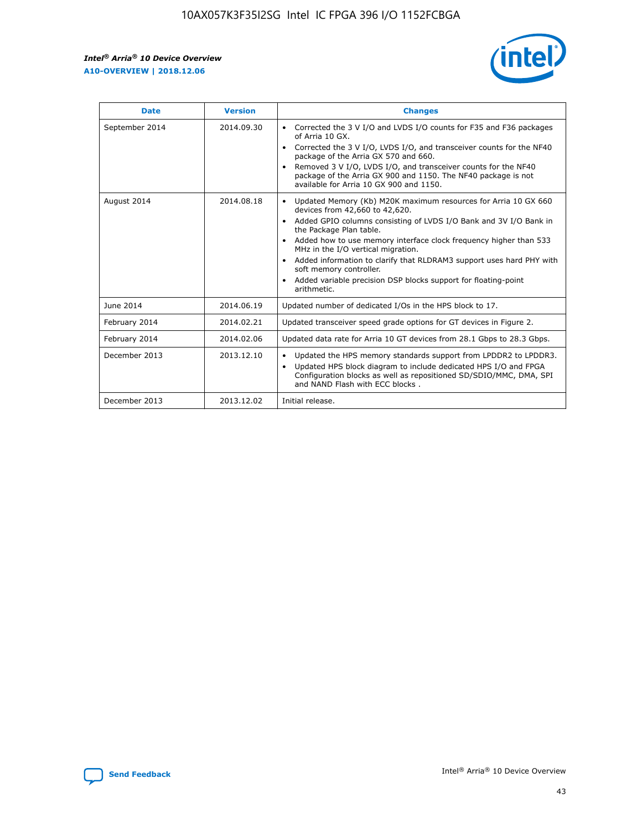r



| <b>Date</b>    | <b>Version</b> | <b>Changes</b>                                                                                                                                                                                                                                                                                                                                                                                                                                                                                                                                      |
|----------------|----------------|-----------------------------------------------------------------------------------------------------------------------------------------------------------------------------------------------------------------------------------------------------------------------------------------------------------------------------------------------------------------------------------------------------------------------------------------------------------------------------------------------------------------------------------------------------|
| September 2014 | 2014.09.30     | Corrected the 3 V I/O and LVDS I/O counts for F35 and F36 packages<br>$\bullet$<br>of Arria 10 GX.<br>Corrected the 3 V I/O, LVDS I/O, and transceiver counts for the NF40<br>$\bullet$<br>package of the Arria GX 570 and 660.<br>Removed 3 V I/O, LVDS I/O, and transceiver counts for the NF40<br>package of the Arria GX 900 and 1150. The NF40 package is not<br>available for Arria 10 GX 900 and 1150.                                                                                                                                       |
| August 2014    | 2014.08.18     | Updated Memory (Kb) M20K maximum resources for Arria 10 GX 660<br>devices from 42,660 to 42,620.<br>Added GPIO columns consisting of LVDS I/O Bank and 3V I/O Bank in<br>$\bullet$<br>the Package Plan table.<br>Added how to use memory interface clock frequency higher than 533<br>$\bullet$<br>MHz in the I/O vertical migration.<br>Added information to clarify that RLDRAM3 support uses hard PHY with<br>$\bullet$<br>soft memory controller.<br>Added variable precision DSP blocks support for floating-point<br>$\bullet$<br>arithmetic. |
| June 2014      | 2014.06.19     | Updated number of dedicated I/Os in the HPS block to 17.                                                                                                                                                                                                                                                                                                                                                                                                                                                                                            |
| February 2014  | 2014.02.21     | Updated transceiver speed grade options for GT devices in Figure 2.                                                                                                                                                                                                                                                                                                                                                                                                                                                                                 |
| February 2014  | 2014.02.06     | Updated data rate for Arria 10 GT devices from 28.1 Gbps to 28.3 Gbps.                                                                                                                                                                                                                                                                                                                                                                                                                                                                              |
| December 2013  | 2013.12.10     | Updated the HPS memory standards support from LPDDR2 to LPDDR3.<br>Updated HPS block diagram to include dedicated HPS I/O and FPGA<br>$\bullet$<br>Configuration blocks as well as repositioned SD/SDIO/MMC, DMA, SPI<br>and NAND Flash with ECC blocks.                                                                                                                                                                                                                                                                                            |
| December 2013  | 2013.12.02     | Initial release.                                                                                                                                                                                                                                                                                                                                                                                                                                                                                                                                    |